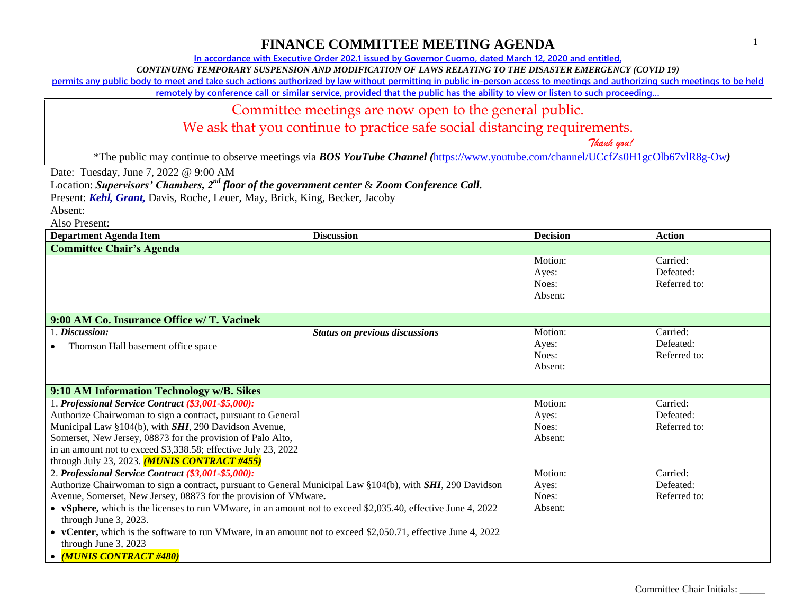**In accordance with Executive Order 202.1 issued by Governor Cuomo, dated March 12, 2020 and entitled,**

*CONTINUING TEMPORARY SUSPENSION AND MODIFICATION OF LAWS RELATING TO THE DISASTER EMERGENCY (COVID 19)*

**permits any public body to meet and take such actions authorized by law without permitting in public in-person access to meetings and authorizing such meetings to be held** 

**remotely by conference call or similar service, provided that the public has the ability to view or listen to such proceeding…**

#### Committee meetings are now open to the general public.

We ask that you continue to practice safe social distancing requirements.

 *Thank you!*

\*The public may continue to observe meetings via *BOS YouTube Channel (*<https://www.youtube.com/channel/UCcfZs0H1gcOlb67vlR8g-Ow>*)*

Date: Tuesday, June 7, 2022 @ 9:00 AM

Location: *Supervisors' Chambers, 2nd floor of the government center* & *Zoom Conference Call.*

Present: *Kehl, Grant,* Davis, Roche, Leuer, May, Brick, King, Becker, Jacoby

Absent:

| <b>Department Agenda Item</b>                                                                                                                                                                                                                                                                                                                                                                                                                                                                                                                         | <b>Discussion</b>                     | <b>Decision</b>                      | <b>Action</b>                         |
|-------------------------------------------------------------------------------------------------------------------------------------------------------------------------------------------------------------------------------------------------------------------------------------------------------------------------------------------------------------------------------------------------------------------------------------------------------------------------------------------------------------------------------------------------------|---------------------------------------|--------------------------------------|---------------------------------------|
| <b>Committee Chair's Agenda</b>                                                                                                                                                                                                                                                                                                                                                                                                                                                                                                                       |                                       |                                      |                                       |
|                                                                                                                                                                                                                                                                                                                                                                                                                                                                                                                                                       |                                       | Motion:<br>Ayes:<br>Noes:<br>Absent: | Carried:<br>Defeated:<br>Referred to: |
| 9:00 AM Co. Insurance Office w/ T. Vacinek                                                                                                                                                                                                                                                                                                                                                                                                                                                                                                            |                                       |                                      |                                       |
| 1. Discussion:<br>Thomson Hall basement office space                                                                                                                                                                                                                                                                                                                                                                                                                                                                                                  | <b>Status on previous discussions</b> | Motion:<br>Ayes:<br>Noes:<br>Absent: | Carried:<br>Defeated:<br>Referred to: |
| 9:10 AM Information Technology w/B. Sikes                                                                                                                                                                                                                                                                                                                                                                                                                                                                                                             |                                       |                                      |                                       |
| 1. Professional Service Contract (\$3,001-\$5,000):<br>Authorize Chairwoman to sign a contract, pursuant to General<br>Municipal Law §104(b), with <i>SHI</i> , 290 Davidson Avenue,<br>Somerset, New Jersey, 08873 for the provision of Palo Alto,<br>in an amount not to exceed \$3,338.58; effective July 23, 2022<br>through July 23, 2023. $(MUNIS$ CONTRACT #455)                                                                                                                                                                               |                                       | Motion:<br>Ayes:<br>Noes:<br>Absent: | Carried:<br>Defeated:<br>Referred to: |
| 2. Professional Service Contract (\$3,001-\$5,000):<br>Authorize Chairwoman to sign a contract, pursuant to General Municipal Law §104(b), with SHI, 290 Davidson<br>Avenue, Somerset, New Jersey, 08873 for the provision of VMware.<br>• vSphere, which is the licenses to run VM ware, in an amount not to exceed \$2,035.40, effective June 4, 2022<br>through June 3, 2023.<br>• vCenter, which is the software to run VM ware, in an amount not to exceed \$2,050.71, effective June 4, 2022<br>through June 3, 2023<br>• (MUNIS CONTRACT #480) |                                       | Motion:<br>Ayes:<br>Noes:<br>Absent: | Carried:<br>Defeated:<br>Referred to: |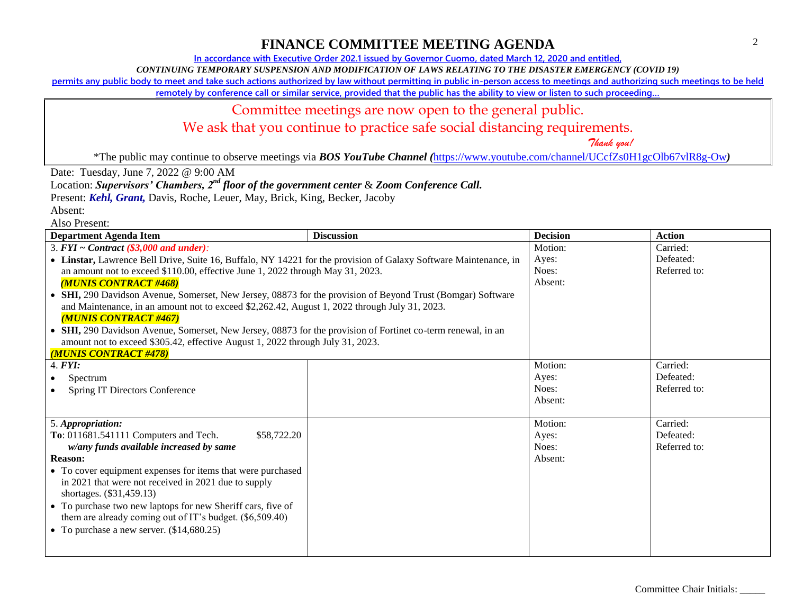**In accordance with Executive Order 202.1 issued by Governor Cuomo, dated March 12, 2020 and entitled,**

*CONTINUING TEMPORARY SUSPENSION AND MODIFICATION OF LAWS RELATING TO THE DISASTER EMERGENCY (COVID 19)*

**permits any public body to meet and take such actions authorized by law without permitting in public in-person access to meetings and authorizing such meetings to be held** 

**remotely by conference call or similar service, provided that the public has the ability to view or listen to such proceeding…**

#### Committee meetings are now open to the general public.

We ask that you continue to practice safe social distancing requirements.

 *Thank you!*

\*The public may continue to observe meetings via *BOS YouTube Channel (*<https://www.youtube.com/channel/UCcfZs0H1gcOlb67vlR8g-Ow>*)*

Date: Tuesday, June 7, 2022 @ 9:00 AM

Location: *Supervisors' Chambers, 2nd floor of the government center* & *Zoom Conference Call.*

Present: *Kehl, Grant,* Davis, Roche, Leuer, May, Brick, King, Becker, Jacoby

Absent:

| <b>Department Agenda Item</b>                                                                                                                                                                                                                                                                                             | <b>Discussion</b> | <b>Decision</b> | <b>Action</b> |
|---------------------------------------------------------------------------------------------------------------------------------------------------------------------------------------------------------------------------------------------------------------------------------------------------------------------------|-------------------|-----------------|---------------|
| 3. $FYI \sim Contract$ (\$3,000 and under):                                                                                                                                                                                                                                                                               |                   | Motion:         | Carried:      |
| • Linstar, Lawrence Bell Drive, Suite 16, Buffalo, NY 14221 for the provision of Galaxy Software Maintenance, in                                                                                                                                                                                                          |                   | Ayes:           | Defeated:     |
| an amount not to exceed \$110.00, effective June 1, 2022 through May 31, 2023.                                                                                                                                                                                                                                            |                   | Noes:           | Referred to:  |
| <b>(MUNIS CONTRACT #468)</b>                                                                                                                                                                                                                                                                                              |                   | Absent:         |               |
| SHI, 290 Davidson Avenue, Somerset, New Jersey, 08873 for the provision of Beyond Trust (Bomgar) Software                                                                                                                                                                                                                 |                   |                 |               |
| and Maintenance, in an amount not to exceed \$2,262.42, August 1, 2022 through July 31, 2023.                                                                                                                                                                                                                             |                   |                 |               |
| <b>MUNIS CONTRACT #467)</b>                                                                                                                                                                                                                                                                                               |                   |                 |               |
| SHI, 290 Davidson Avenue, Somerset, New Jersey, 08873 for the provision of Fortinet co-term renewal, in an                                                                                                                                                                                                                |                   |                 |               |
| amount not to exceed \$305.42, effective August 1, 2022 through July 31, 2023.                                                                                                                                                                                                                                            |                   |                 |               |
| (MUNIS CONTRACT #478)                                                                                                                                                                                                                                                                                                     |                   |                 |               |
| 4. <b>FYI</b> :                                                                                                                                                                                                                                                                                                           |                   | Motion:         | Carried:      |
| Spectrum                                                                                                                                                                                                                                                                                                                  |                   | Ayes:           | Defeated:     |
| <b>Spring IT Directors Conference</b>                                                                                                                                                                                                                                                                                     |                   | Noes:           | Referred to:  |
|                                                                                                                                                                                                                                                                                                                           |                   | Absent:         |               |
|                                                                                                                                                                                                                                                                                                                           |                   |                 |               |
| 5. Appropriation:                                                                                                                                                                                                                                                                                                         |                   | Motion:         | Carried:      |
| To: 011681.541111 Computers and Tech.<br>\$58,722.20                                                                                                                                                                                                                                                                      |                   | Ayes:           | Defeated:     |
| w/any funds available increased by same                                                                                                                                                                                                                                                                                   |                   | Noes:           | Referred to:  |
| <b>Reason:</b>                                                                                                                                                                                                                                                                                                            |                   | Absent:         |               |
|                                                                                                                                                                                                                                                                                                                           |                   |                 |               |
|                                                                                                                                                                                                                                                                                                                           |                   |                 |               |
|                                                                                                                                                                                                                                                                                                                           |                   |                 |               |
|                                                                                                                                                                                                                                                                                                                           |                   |                 |               |
|                                                                                                                                                                                                                                                                                                                           |                   |                 |               |
|                                                                                                                                                                                                                                                                                                                           |                   |                 |               |
|                                                                                                                                                                                                                                                                                                                           |                   |                 |               |
| • To cover equipment expenses for items that were purchased<br>in 2021 that were not received in 2021 due to supply<br>shortages. (\$31,459.13)<br>• To purchase two new laptops for new Sheriff cars, five of<br>them are already coming out of IT's budget. (\$6,509.40)<br>• To purchase a new server. $(\$14,680.25)$ |                   |                 |               |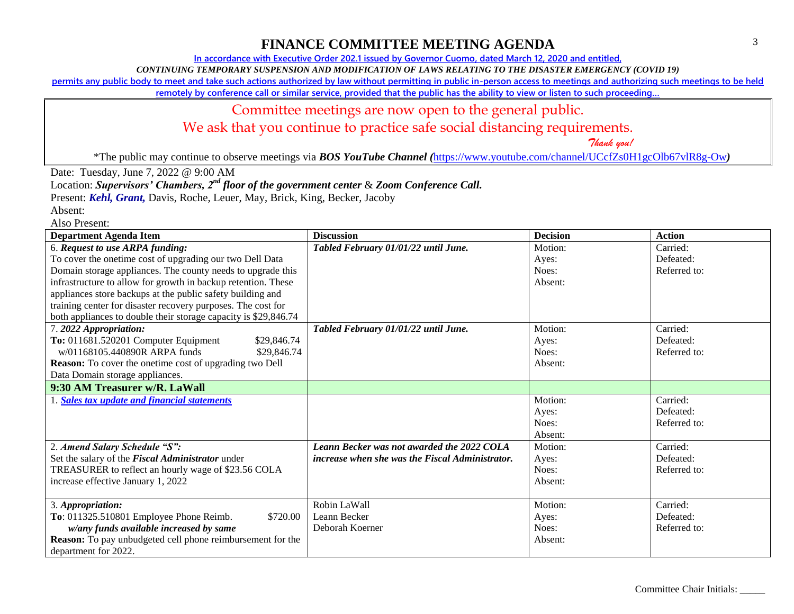**In accordance with Executive Order 202.1 issued by Governor Cuomo, dated March 12, 2020 and entitled,**

*CONTINUING TEMPORARY SUSPENSION AND MODIFICATION OF LAWS RELATING TO THE DISASTER EMERGENCY (COVID 19)*

**permits any public body to meet and take such actions authorized by law without permitting in public in-person access to meetings and authorizing such meetings to be held** 

**remotely by conference call or similar service, provided that the public has the ability to view or listen to such proceeding…**

#### Committee meetings are now open to the general public.

We ask that you continue to practice safe social distancing requirements.

 *Thank you!*

\*The public may continue to observe meetings via *BOS YouTube Channel (*<https://www.youtube.com/channel/UCcfZs0H1gcOlb67vlR8g-Ow>*)*

Date: Tuesday, June 7, 2022 @ 9:00 AM

Location: *Supervisors' Chambers, 2nd floor of the government center* & *Zoom Conference Call.*

Present: *Kehl, Grant,* Davis, Roche, Leuer, May, Brick, King, Becker, Jacoby

| <b>Department Agenda Item</b>                                     | <b>Discussion</b>                                      | <b>Decision</b> | <b>Action</b> |
|-------------------------------------------------------------------|--------------------------------------------------------|-----------------|---------------|
| 6. Request to use ARPA funding:                                   | Tabled February 01/01/22 until June.                   | Motion:         | Carried:      |
| To cover the onetime cost of upgrading our two Dell Data          |                                                        | Ayes:           | Defeated:     |
| Domain storage appliances. The county needs to upgrade this       |                                                        | Noes:           | Referred to:  |
| infrastructure to allow for growth in backup retention. These     |                                                        | Absent:         |               |
| appliances store backups at the public safety building and        |                                                        |                 |               |
| training center for disaster recovery purposes. The cost for      |                                                        |                 |               |
| both appliances to double their storage capacity is \$29,846.74   |                                                        |                 |               |
| 7.2022 Appropriation:                                             | Tabled February 01/01/22 until June.                   | Motion:         | Carried:      |
| To: 011681.520201 Computer Equipment<br>\$29,846.74               |                                                        | Ayes:           | Defeated:     |
| w/01168105.440890R ARPA funds<br>\$29,846.74                      |                                                        | Noes:           | Referred to:  |
| <b>Reason:</b> To cover the onetime cost of upgrading two Dell    |                                                        | Absent:         |               |
| Data Domain storage appliances.                                   |                                                        |                 |               |
| 9:30 AM Treasurer w/R. LaWall                                     |                                                        |                 |               |
| 1. Sales tax update and financial statements                      |                                                        | Motion:         | Carried:      |
|                                                                   |                                                        | Ayes:           | Defeated:     |
|                                                                   |                                                        | Noes:           | Referred to:  |
|                                                                   |                                                        | Absent:         |               |
| 2. Amend Salary Schedule "S":                                     | Leann Becker was not awarded the 2022 COLA             | Motion:         | Carried:      |
| Set the salary of the Fiscal Administrator under                  | <i>increase when she was the Fiscal Administrator.</i> | Ayes:           | Defeated:     |
| TREASURER to reflect an hourly wage of \$23.56 COLA               |                                                        | Noes:           | Referred to:  |
| increase effective January 1, 2022                                |                                                        | Absent:         |               |
|                                                                   |                                                        |                 |               |
| 3. Appropriation:                                                 | Robin LaWall                                           | Motion:         | Carried:      |
| To: 011325.510801 Employee Phone Reimb.<br>\$720.00               | Leann Becker                                           | Ayes:           | Defeated:     |
| w/any funds available increased by same                           | Deborah Koerner                                        | Noes:           | Referred to:  |
| <b>Reason:</b> To pay unbudgeted cell phone reimbursement for the |                                                        | Absent:         |               |
| department for 2022.                                              |                                                        |                 |               |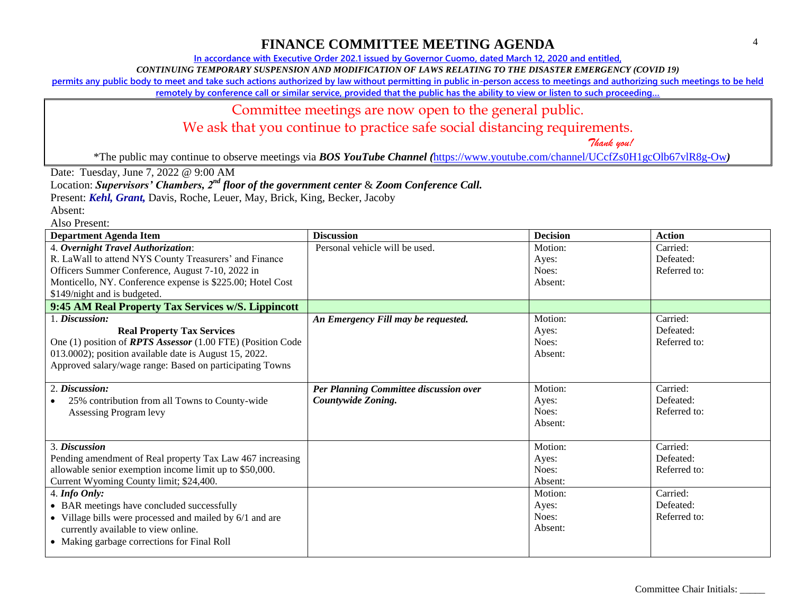**In accordance with Executive Order 202.1 issued by Governor Cuomo, dated March 12, 2020 and entitled,**

*CONTINUING TEMPORARY SUSPENSION AND MODIFICATION OF LAWS RELATING TO THE DISASTER EMERGENCY (COVID 19)*

**permits any public body to meet and take such actions authorized by law without permitting in public in-person access to meetings and authorizing such meetings to be held** 

**remotely by conference call or similar service, provided that the public has the ability to view or listen to such proceeding…**

#### Committee meetings are now open to the general public.

We ask that you continue to practice safe social distancing requirements.

 *Thank you!*

\*The public may continue to observe meetings via *BOS YouTube Channel (*<https://www.youtube.com/channel/UCcfZs0H1gcOlb67vlR8g-Ow>*)*

Date: Tuesday, June 7, 2022 @ 9:00 AM

Location: *Supervisors' Chambers, 2nd floor of the government center* & *Zoom Conference Call.*

Present: *Kehl, Grant,* Davis, Roche, Leuer, May, Brick, King, Becker, Jacoby

Absent:

| <b>Department Agenda Item</b>                                      | <b>Discussion</b>                      | <b>Decision</b> | <b>Action</b> |
|--------------------------------------------------------------------|----------------------------------------|-----------------|---------------|
| 4. Overnight Travel Authorization:                                 | Personal vehicle will be used.         | Motion:         | Carried:      |
| R. LaWall to attend NYS County Treasurers' and Finance             |                                        | Ayes:           | Defeated:     |
| Officers Summer Conference, August 7-10, 2022 in                   |                                        | Noes:           | Referred to:  |
| Monticello, NY. Conference expense is \$225.00; Hotel Cost         |                                        | Absent:         |               |
| \$149/night and is budgeted.                                       |                                        |                 |               |
| 9:45 AM Real Property Tax Services w/S. Lippincott                 |                                        |                 |               |
| 1. Discussion:                                                     | An Emergency Fill may be requested.    | Motion:         | Carried:      |
| <b>Real Property Tax Services</b>                                  |                                        | Ayes:           | Defeated:     |
| One (1) position of <b>RPTS</b> Assessor (1.00 FTE) (Position Code |                                        | Noes:           | Referred to:  |
| 013.0002); position available date is August 15, 2022.             |                                        | Absent:         |               |
| Approved salary/wage range: Based on participating Towns           |                                        |                 |               |
|                                                                    |                                        |                 |               |
| 2. Discussion:                                                     | Per Planning Committee discussion over | Motion:         | Carried:      |
| 25% contribution from all Towns to County-wide                     | Countywide Zoning.                     | Ayes:           | Defeated:     |
| Assessing Program levy                                             |                                        | Noes:           | Referred to:  |
|                                                                    |                                        | Absent:         |               |
|                                                                    |                                        |                 |               |
| 3. Discussion                                                      |                                        | Motion:         | Carried:      |
| Pending amendment of Real property Tax Law 467 increasing          |                                        | Ayes:           | Defeated:     |
| allowable senior exemption income limit up to \$50,000.            |                                        | Noes:           | Referred to:  |
| Current Wyoming County limit; \$24,400.                            |                                        | Absent:         |               |
| $4.$ Info Only:                                                    |                                        | Motion:         | Carried:      |
| • BAR meetings have concluded successfully                         |                                        | Ayes:           | Defeated:     |
| • Village bills were processed and mailed by 6/1 and are           |                                        | Noes:           | Referred to:  |
| currently available to view online.                                |                                        | Absent:         |               |
| • Making garbage corrections for Final Roll                        |                                        |                 |               |
|                                                                    |                                        |                 |               |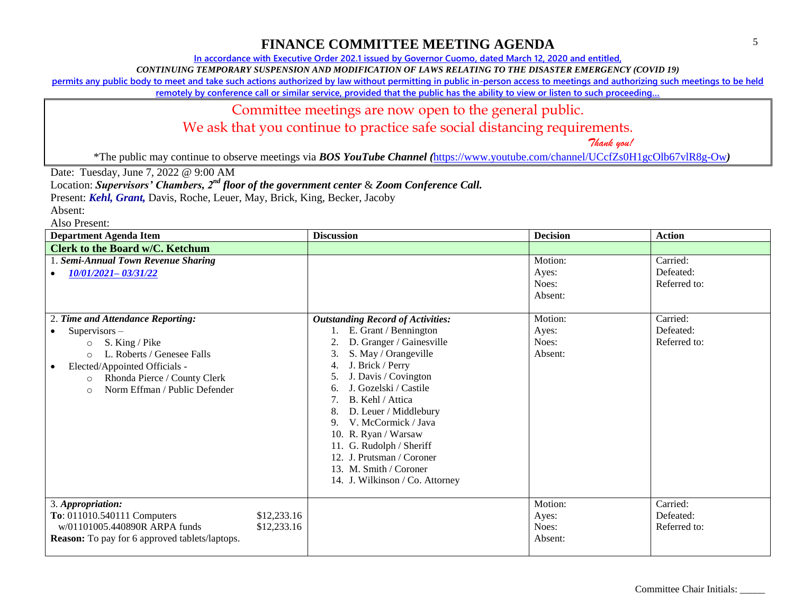**In accordance with Executive Order 202.1 issued by Governor Cuomo, dated March 12, 2020 and entitled,**

*CONTINUING TEMPORARY SUSPENSION AND MODIFICATION OF LAWS RELATING TO THE DISASTER EMERGENCY (COVID 19)*

**permits any public body to meet and take such actions authorized by law without permitting in public in-person access to meetings and authorizing such meetings to be held** 

**remotely by conference call or similar service, provided that the public has the ability to view or listen to such proceeding…**

#### Committee meetings are now open to the general public.

We ask that you continue to practice safe social distancing requirements.

 *Thank you!*

\*The public may continue to observe meetings via *BOS YouTube Channel (*<https://www.youtube.com/channel/UCcfZs0H1gcOlb67vlR8g-Ow>*)*

Date: Tuesday, June 7, 2022 @ 9:00 AM

Location: *Supervisors' Chambers, 2nd floor of the government center* & *Zoom Conference Call.*

Present: *Kehl, Grant,* Davis, Roche, Leuer, May, Brick, King, Becker, Jacoby

Absent:

| <b>Department Agenda Item</b>                                                                                                                                                                                              | <b>Discussion</b>                                                                                                                                                                                                                                                                                                                                                                             | <b>Decision</b>                      | <b>Action</b>                         |
|----------------------------------------------------------------------------------------------------------------------------------------------------------------------------------------------------------------------------|-----------------------------------------------------------------------------------------------------------------------------------------------------------------------------------------------------------------------------------------------------------------------------------------------------------------------------------------------------------------------------------------------|--------------------------------------|---------------------------------------|
| <b>Clerk to the Board w/C. Ketchum</b>                                                                                                                                                                                     |                                                                                                                                                                                                                                                                                                                                                                                               |                                      |                                       |
| 1. Semi-Annual Town Revenue Sharing<br>10/01/2021-03/31/22                                                                                                                                                                 |                                                                                                                                                                                                                                                                                                                                                                                               | Motion:<br>Ayes:<br>Noes:<br>Absent: | Carried:<br>Defeated:<br>Referred to: |
| 2. Time and Attendance Reporting:                                                                                                                                                                                          | <b>Outstanding Record of Activities:</b>                                                                                                                                                                                                                                                                                                                                                      | Motion:                              | Carried:                              |
| $Supervisors -$<br>S. King / Pike<br>$\circ$<br>L. Roberts / Genesee Falls<br>$\circ$<br>Elected/Appointed Officials -<br>$\bullet$<br>Rhonda Pierce / County Clerk<br>$\circ$<br>Norm Effman / Public Defender<br>$\circ$ | E. Grant / Bennington<br>D. Granger / Gainesville<br>S. May / Orangeville<br>3.<br>J. Brick / Perry<br>4.<br>J. Davis / Covington<br>J. Gozelski / Castile<br>6.<br>B. Kehl / Attica<br>D. Leuer / Middlebury<br>8<br>V. McCormick / Java<br>9.<br>10. R. Ryan / Warsaw<br>11. G. Rudolph / Sheriff<br>12. J. Prutsman / Coroner<br>13. M. Smith / Coroner<br>14. J. Wilkinson / Co. Attorney | Ayes:<br>Noes:<br>Absent:            | Defeated:<br>Referred to:             |
| 3. Appropriation:<br>To: 011010.540111 Computers<br>\$12,233.16<br>w/01101005.440890R ARPA funds<br>\$12,233.16<br><b>Reason:</b> To pay for 6 approved tablets/laptops.                                                   |                                                                                                                                                                                                                                                                                                                                                                                               | Motion:<br>Ayes:<br>Noes:<br>Absent: | Carried:<br>Defeated:<br>Referred to: |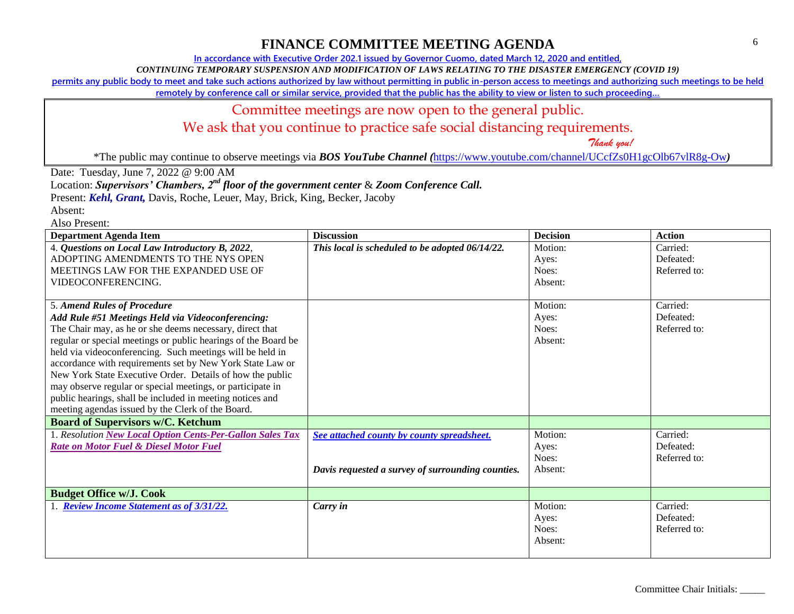**In accordance with Executive Order 202.1 issued by Governor Cuomo, dated March 12, 2020 and entitled,**

*CONTINUING TEMPORARY SUSPENSION AND MODIFICATION OF LAWS RELATING TO THE DISASTER EMERGENCY (COVID 19)*

**permits any public body to meet and take such actions authorized by law without permitting in public in-person access to meetings and authorizing such meetings to be held** 

**remotely by conference call or similar service, provided that the public has the ability to view or listen to such proceeding…**

#### Committee meetings are now open to the general public.

We ask that you continue to practice safe social distancing requirements.

 *Thank you!*

\*The public may continue to observe meetings via *BOS YouTube Channel (*<https://www.youtube.com/channel/UCcfZs0H1gcOlb67vlR8g-Ow>*)*

Date: Tuesday, June 7, 2022 @ 9:00 AM

Location: *Supervisors' Chambers, 2nd floor of the government center* & *Zoom Conference Call.*

Present: *Kehl, Grant,* Davis, Roche, Leuer, May, Brick, King, Becker, Jacoby

Absent:

| <b>Department Agenda Item</b>                                  | <b>Discussion</b>                                 | <b>Decision</b> | <b>Action</b> |
|----------------------------------------------------------------|---------------------------------------------------|-----------------|---------------|
| 4. Questions on Local Law Introductory B, 2022,                | This local is scheduled to be adopted 06/14/22.   | Motion:         | Carried:      |
| ADOPTING AMENDMENTS TO THE NYS OPEN                            |                                                   | Ayes:           | Defeated:     |
| MEETINGS LAW FOR THE EXPANDED USE OF                           |                                                   | Noes:           | Referred to:  |
| VIDEOCONFERENCING.                                             |                                                   | Absent:         |               |
|                                                                |                                                   |                 |               |
| 5. Amend Rules of Procedure                                    |                                                   | Motion:         | Carried:      |
| Add Rule #51 Meetings Held via Videoconferencing:              |                                                   | Ayes:           | Defeated:     |
| The Chair may, as he or she deems necessary, direct that       |                                                   | Noes:           | Referred to:  |
| regular or special meetings or public hearings of the Board be |                                                   | Absent:         |               |
| held via videoconferencing. Such meetings will be held in      |                                                   |                 |               |
| accordance with requirements set by New York State Law or      |                                                   |                 |               |
| New York State Executive Order. Details of how the public      |                                                   |                 |               |
| may observe regular or special meetings, or participate in     |                                                   |                 |               |
| public hearings, shall be included in meeting notices and      |                                                   |                 |               |
| meeting agendas issued by the Clerk of the Board.              |                                                   |                 |               |
| <b>Board of Supervisors w/C. Ketchum</b>                       |                                                   |                 |               |
| 1. Resolution New Local Option Cents-Per-Gallon Sales Tax      | See attached county by county spreadsheet.        | Motion:         | Carried:      |
| <b>Rate on Motor Fuel &amp; Diesel Motor Fuel</b>              |                                                   | Ayes:           | Defeated:     |
|                                                                |                                                   | Noes:           | Referred to:  |
|                                                                | Davis requested a survey of surrounding counties. | Absent:         |               |
|                                                                |                                                   |                 |               |
| <b>Budget Office w/J. Cook</b>                                 |                                                   |                 |               |
| <b>Review Income Statement as of 3/31/22.</b>                  | Carry in                                          | Motion:         | Carried:      |
|                                                                |                                                   | Ayes:           | Defeated:     |
|                                                                |                                                   | Noes:           | Referred to:  |
|                                                                |                                                   | Absent:         |               |
|                                                                |                                                   |                 |               |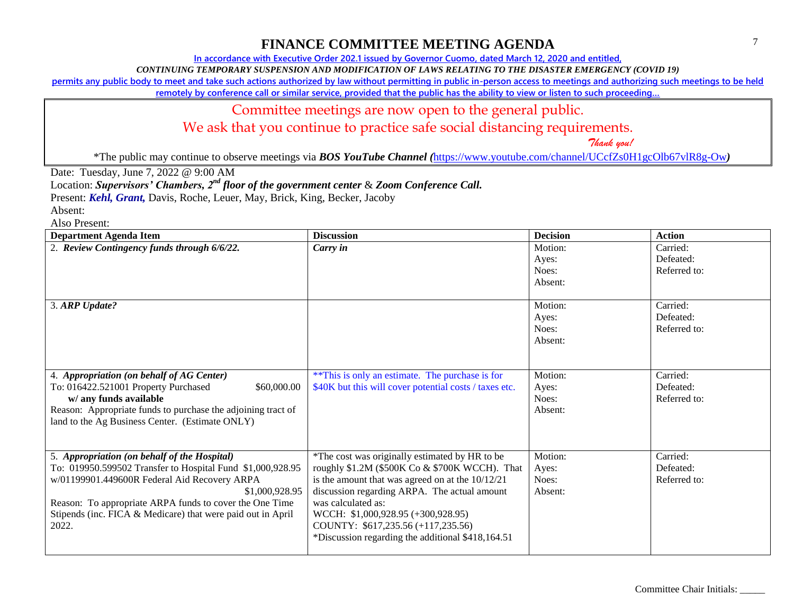**In accordance with Executive Order 202.1 issued by Governor Cuomo, dated March 12, 2020 and entitled,**

*CONTINUING TEMPORARY SUSPENSION AND MODIFICATION OF LAWS RELATING TO THE DISASTER EMERGENCY (COVID 19)*

**permits any public body to meet and take such actions authorized by law without permitting in public in-person access to meetings and authorizing such meetings to be held** 

**remotely by conference call or similar service, provided that the public has the ability to view or listen to such proceeding…**

#### Committee meetings are now open to the general public.

We ask that you continue to practice safe social distancing requirements.

 *Thank you!*

\*The public may continue to observe meetings via *BOS YouTube Channel (*<https://www.youtube.com/channel/UCcfZs0H1gcOlb67vlR8g-Ow>*)*

Date: Tuesday, June 7, 2022 @ 9:00 AM

Location: *Supervisors' Chambers, 2nd floor of the government center* & *Zoom Conference Call.*

Present: *Kehl, Grant,* Davis, Roche, Leuer, May, Brick, King, Becker, Jacoby

Absent:

| <b>Department Agenda Item</b>                                                                                                                                                                                                                                                                                   | <b>Discussion</b>                                                                                                                                                                                                                                                                                                                                             | <b>Decision</b>                      | <b>Action</b>                         |
|-----------------------------------------------------------------------------------------------------------------------------------------------------------------------------------------------------------------------------------------------------------------------------------------------------------------|---------------------------------------------------------------------------------------------------------------------------------------------------------------------------------------------------------------------------------------------------------------------------------------------------------------------------------------------------------------|--------------------------------------|---------------------------------------|
| 2. Review Contingency funds through 6/6/22.                                                                                                                                                                                                                                                                     | Carry in                                                                                                                                                                                                                                                                                                                                                      | Motion:<br>Ayes:<br>Noes:<br>Absent: | Carried:<br>Defeated:<br>Referred to: |
| 3. ARP Update?                                                                                                                                                                                                                                                                                                  |                                                                                                                                                                                                                                                                                                                                                               | Motion:<br>Ayes:<br>Noes:<br>Absent: | Carried:<br>Defeated:<br>Referred to: |
| 4. Appropriation (on behalf of AG Center)<br>\$60,000.00<br>To: 016422.521001 Property Purchased<br>w/ any funds available<br>Reason: Appropriate funds to purchase the adjoining tract of<br>land to the Ag Business Center. (Estimate ONLY)                                                                   | ** This is only an estimate. The purchase is for<br>\$40K but this will cover potential costs / taxes etc.                                                                                                                                                                                                                                                    | Motion:<br>Ayes:<br>Noes:<br>Absent: | Carried:<br>Defeated:<br>Referred to: |
| 5. Appropriation (on behalf of the Hospital)<br>To: 019950.599502 Transfer to Hospital Fund \$1,000,928.95<br>w/01199901.449600R Federal Aid Recovery ARPA<br>\$1,000,928.95<br>Reason: To appropriate ARPA funds to cover the One Time<br>Stipends (inc. FICA & Medicare) that were paid out in April<br>2022. | *The cost was originally estimated by HR to be<br>roughly \$1.2M (\$500K Co & \$700K WCCH). That<br>is the amount that was agreed on at the $10/12/21$<br>discussion regarding ARPA. The actual amount<br>was calculated as:<br>WCCH: \$1,000,928.95 (+300,928.95)<br>COUNTY: \$617,235.56 (+117,235.56)<br>*Discussion regarding the additional \$418,164.51 | Motion:<br>Ayes:<br>Noes:<br>Absent: | Carried:<br>Defeated:<br>Referred to: |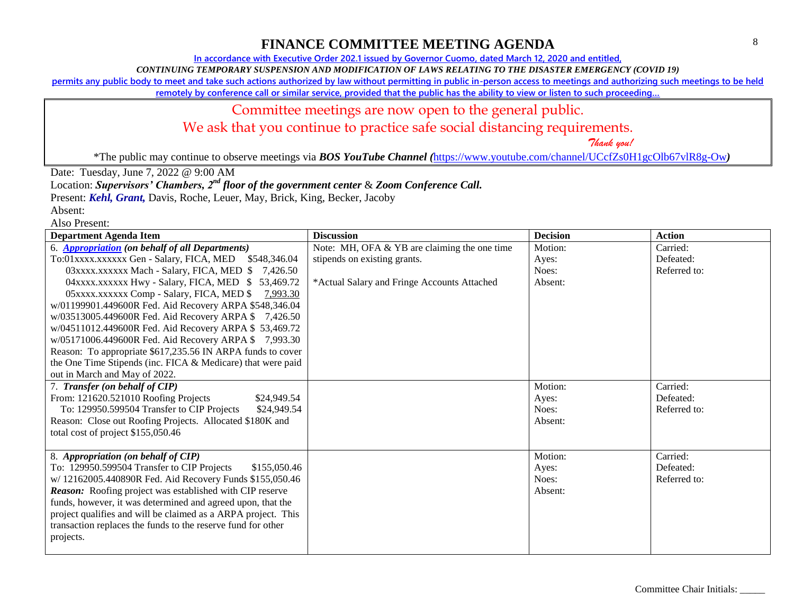**In accordance with Executive Order 202.1 issued by Governor Cuomo, dated March 12, 2020 and entitled,**

*CONTINUING TEMPORARY SUSPENSION AND MODIFICATION OF LAWS RELATING TO THE DISASTER EMERGENCY (COVID 19)*

**permits any public body to meet and take such actions authorized by law without permitting in public in-person access to meetings and authorizing such meetings to be held** 

**remotely by conference call or similar service, provided that the public has the ability to view or listen to such proceeding…**

### Committee meetings are now open to the general public.

We ask that you continue to practice safe social distancing requirements.

 *Thank you!*

\*The public may continue to observe meetings via *BOS YouTube Channel (*<https://www.youtube.com/channel/UCcfZs0H1gcOlb67vlR8g-Ow>*)*

Date: Tuesday, June 7, 2022 @ 9:00 AM

Location: *Supervisors' Chambers, 2nd floor of the government center* & *Zoom Conference Call.*

Present: *Kehl, Grant,* Davis, Roche, Leuer, May, Brick, King, Becker, Jacoby

| <b>Department Agenda Item</b>                                   | <b>Discussion</b>                            | <b>Decision</b> | <b>Action</b> |
|-----------------------------------------------------------------|----------------------------------------------|-----------------|---------------|
| 6. <b>Appropriation</b> (on behalf of all Departments)          | Note: MH, OFA & YB are claiming the one time | Motion:         | Carried:      |
| To:01xxxx.xxxxxx Gen - Salary, FICA, MED \$548,346.04           | stipends on existing grants.                 | Ayes:           | Defeated:     |
| 03xxxx.xxxxxx Mach - Salary, FICA, MED \$7,426.50               |                                              | Noes:           | Referred to:  |
| 04xxxx.xxxxxx Hwy - Salary, FICA, MED \$53,469.72               | *Actual Salary and Fringe Accounts Attached  | Absent:         |               |
| 05 xxxx.xxxxxx Comp - Salary, FICA, MED \$<br>7,993.30          |                                              |                 |               |
| w/01199901.449600R Fed. Aid Recovery ARPA \$548,346.04          |                                              |                 |               |
| w/03513005.449600R Fed. Aid Recovery ARPA \$7,426.50            |                                              |                 |               |
| w/04511012.449600R Fed. Aid Recovery ARPA \$53,469.72           |                                              |                 |               |
| w/05171006.449600R Fed. Aid Recovery ARPA \$7,993.30            |                                              |                 |               |
| Reason: To appropriate \$617,235.56 IN ARPA funds to cover      |                                              |                 |               |
| the One Time Stipends (inc. FICA & Medicare) that were paid     |                                              |                 |               |
| out in March and May of 2022.                                   |                                              |                 |               |
| 7. Transfer (on behalf of CIP)                                  |                                              | Motion:         | Carried:      |
| From: 121620.521010 Roofing Projects<br>\$24,949.54             |                                              | Ayes:           | Defeated:     |
| To: 129950.599504 Transfer to CIP Projects<br>\$24,949.54       |                                              | Noes:           | Referred to:  |
| Reason: Close out Roofing Projects. Allocated \$180K and        |                                              | Absent:         |               |
| total cost of project \$155,050.46                              |                                              |                 |               |
|                                                                 |                                              |                 |               |
| 8. Appropriation (on behalf of CIP)                             |                                              | Motion:         | Carried:      |
| To: 129950.599504 Transfer to CIP Projects<br>\$155,050.46      |                                              | Ayes:           | Defeated:     |
| w/ 12162005.440890R Fed. Aid Recovery Funds \$155,050.46        |                                              | Noes:           | Referred to:  |
| <b>Reason:</b> Roofing project was established with CIP reserve |                                              | Absent:         |               |
| funds, however, it was determined and agreed upon, that the     |                                              |                 |               |
| project qualifies and will be claimed as a ARPA project. This   |                                              |                 |               |
| transaction replaces the funds to the reserve fund for other    |                                              |                 |               |
| projects.                                                       |                                              |                 |               |
|                                                                 |                                              |                 |               |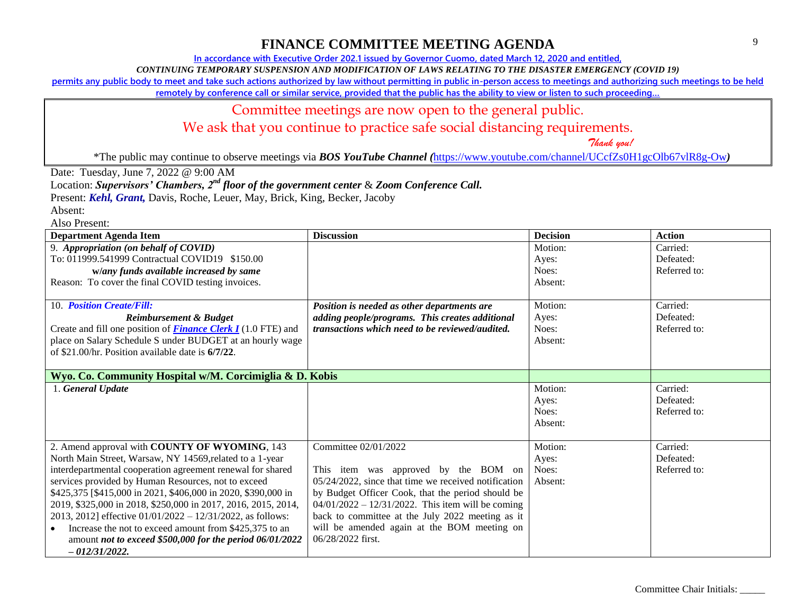**In accordance with Executive Order 202.1 issued by Governor Cuomo, dated March 12, 2020 and entitled,**

*CONTINUING TEMPORARY SUSPENSION AND MODIFICATION OF LAWS RELATING TO THE DISASTER EMERGENCY (COVID 19)*

**permits any public body to meet and take such actions authorized by law without permitting in public in-person access to meetings and authorizing such meetings to be held** 

**remotely by conference call or similar service, provided that the public has the ability to view or listen to such proceeding…**

#### Committee meetings are now open to the general public.

We ask that you continue to practice safe social distancing requirements.

 *Thank you!*

\*The public may continue to observe meetings via *BOS YouTube Channel (*<https://www.youtube.com/channel/UCcfZs0H1gcOlb67vlR8g-Ow>*)*

Date: Tuesday, June 7, 2022 @ 9:00 AM

Location: *Supervisors' Chambers, 2nd floor of the government center* & *Zoom Conference Call.*

Present: *Kehl, Grant,* Davis, Roche, Leuer, May, Brick, King, Becker, Jacoby

Absent:

| <b>Department Agenda Item</b>                                        | <b>Discussion</b>                                      | <b>Decision</b> | <b>Action</b> |
|----------------------------------------------------------------------|--------------------------------------------------------|-----------------|---------------|
| 9. Appropriation (on behalf of COVID)                                |                                                        | Motion:         | Carried:      |
| To: 011999.541999 Contractual COVID19 \$150.00                       |                                                        | Ayes:           | Defeated:     |
| w/any funds available increased by same                              |                                                        | Noes:           | Referred to:  |
| Reason: To cover the final COVID testing invoices.                   |                                                        | Absent:         |               |
|                                                                      |                                                        |                 |               |
| 10. Position Create/Fill:                                            | Position is needed as other departments are            | Motion:         | Carried:      |
| <b>Reimbursement &amp; Budget</b>                                    | adding people/programs. This creates additional        | Ayes:           | Defeated:     |
| Create and fill one position of <b>Finance Clerk I</b> (1.0 FTE) and | <i>transactions which need to be reviewed/audited.</i> | Noes:           | Referred to:  |
| place on Salary Schedule S under BUDGET at an hourly wage            |                                                        | Absent:         |               |
| of \$21,00/hr. Position available date is 6/7/22.                    |                                                        |                 |               |
|                                                                      |                                                        |                 |               |
| Wyo. Co. Community Hospital w/M. Corcimiglia & D. Kobis              |                                                        |                 |               |
| 1. General Update                                                    |                                                        | Motion:         | Carried:      |
|                                                                      |                                                        | Ayes:           | Defeated:     |
|                                                                      |                                                        | Noes:           | Referred to:  |
|                                                                      |                                                        | Absent:         |               |
|                                                                      |                                                        |                 |               |
| 2. Amend approval with COUNTY OF WYOMING, 143                        | Committee 02/01/2022                                   | Motion:         | Carried:      |
| North Main Street, Warsaw, NY 14569, related to a 1-year             |                                                        | Ayes:           | Defeated:     |
| interdepartmental cooperation agreement renewal for shared           | This item was approved by the BOM on                   | Noes:           | Referred to:  |
| services provided by Human Resources, not to exceed                  | 05/24/2022, since that time we received notification   | Absent:         |               |
| \$425,375 [\$415,000 in 2021, \$406,000 in 2020, \$390,000 in        | by Budget Officer Cook, that the period should be      |                 |               |
| 2019, \$325,000 in 2018, \$250,000 in 2017, 2016, 2015, 2014,        | $04/01/2022 - 12/31/2022$ . This item will be coming   |                 |               |
| 2013, 2012] effective $01/01/2022 - 12/31/2022$ , as follows:        | back to committee at the July 2022 meeting as it       |                 |               |
| Increase the not to exceed amount from \$425,375 to an<br>$\bullet$  | will be amended again at the BOM meeting on            |                 |               |
| amount not to exceed \$500,000 for the period 06/01/2022             | 06/28/2022 first.                                      |                 |               |
| $-012/31/2022.$                                                      |                                                        |                 |               |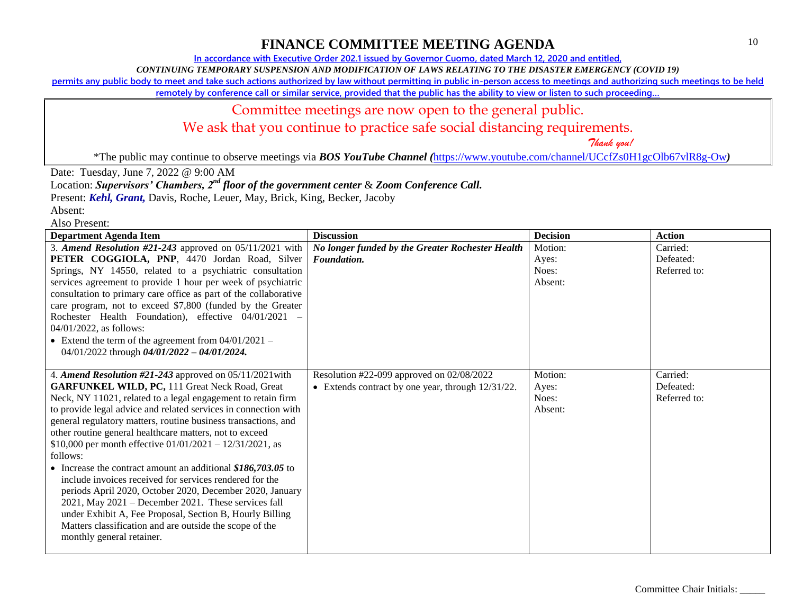**In accordance with Executive Order 202.1 issued by Governor Cuomo, dated March 12, 2020 and entitled,**

*CONTINUING TEMPORARY SUSPENSION AND MODIFICATION OF LAWS RELATING TO THE DISASTER EMERGENCY (COVID 19)*

**permits any public body to meet and take such actions authorized by law without permitting in public in-person access to meetings and authorizing such meetings to be held** 

**remotely by conference call or similar service, provided that the public has the ability to view or listen to such proceeding…**

# Committee meetings are now open to the general public.

We ask that you continue to practice safe social distancing requirements.

 *Thank you!*

\*The public may continue to observe meetings via *BOS YouTube Channel (*<https://www.youtube.com/channel/UCcfZs0H1gcOlb67vlR8g-Ow>*)*

Date: Tuesday, June 7, 2022 @ 9:00 AM

Location: *Supervisors' Chambers, 2nd floor of the government center* & *Zoom Conference Call.*

Present: *Kehl, Grant,* Davis, Roche, Leuer, May, Brick, King, Becker, Jacoby

| <b>Department Agenda Item</b>                                    | <b>Discussion</b>                                    | <b>Decision</b> | <b>Action</b> |
|------------------------------------------------------------------|------------------------------------------------------|-----------------|---------------|
| 3. Amend Resolution #21-243 approved on $05/11/2021$ with        | No longer funded by the Greater Rochester Health     | Motion:         | Carried:      |
| PETER COGGIOLA, PNP, 4470 Jordan Road, Silver                    | Foundation.                                          | Ayes:           | Defeated:     |
| Springs, NY 14550, related to a psychiatric consultation         |                                                      | Noes:           | Referred to:  |
| services agreement to provide 1 hour per week of psychiatric     |                                                      | Absent:         |               |
| consultation to primary care office as part of the collaborative |                                                      |                 |               |
| care program, not to exceed \$7,800 (funded by the Greater       |                                                      |                 |               |
| Rochester Health Foundation), effective 04/01/2021 -             |                                                      |                 |               |
| 04/01/2022, as follows:                                          |                                                      |                 |               |
| • Extend the term of the agreement from $04/01/2021 -$           |                                                      |                 |               |
| 04/01/2022 through $04/01/2022 - 04/01/2024$ .                   |                                                      |                 |               |
|                                                                  |                                                      |                 |               |
| 4. Amend Resolution #21-243 approved on 05/11/2021 with          | Resolution #22-099 approved on 02/08/2022            | Motion:         | Carried:      |
| <b>GARFUNKEL WILD, PC, 111 Great Neck Road, Great</b>            | • Extends contract by one year, through $12/31/22$ . | Ayes:           | Defeated:     |
| Neck, NY 11021, related to a legal engagement to retain firm     |                                                      | Noes:           | Referred to:  |
| to provide legal advice and related services in connection with  |                                                      | Absent:         |               |
| general regulatory matters, routine business transactions, and   |                                                      |                 |               |
| other routine general healthcare matters, not to exceed          |                                                      |                 |               |
| \$10,000 per month effective $01/01/2021 - 12/31/2021$ , as      |                                                      |                 |               |
| follows:                                                         |                                                      |                 |               |
| • Increase the contract amount an additional $$186,703.05$ to    |                                                      |                 |               |
| include invoices received for services rendered for the          |                                                      |                 |               |
| periods April 2020, October 2020, December 2020, January         |                                                      |                 |               |
| 2021, May 2021 - December 2021. These services fall              |                                                      |                 |               |
| under Exhibit A, Fee Proposal, Section B, Hourly Billing         |                                                      |                 |               |
| Matters classification and are outside the scope of the          |                                                      |                 |               |
| monthly general retainer.                                        |                                                      |                 |               |
|                                                                  |                                                      |                 |               |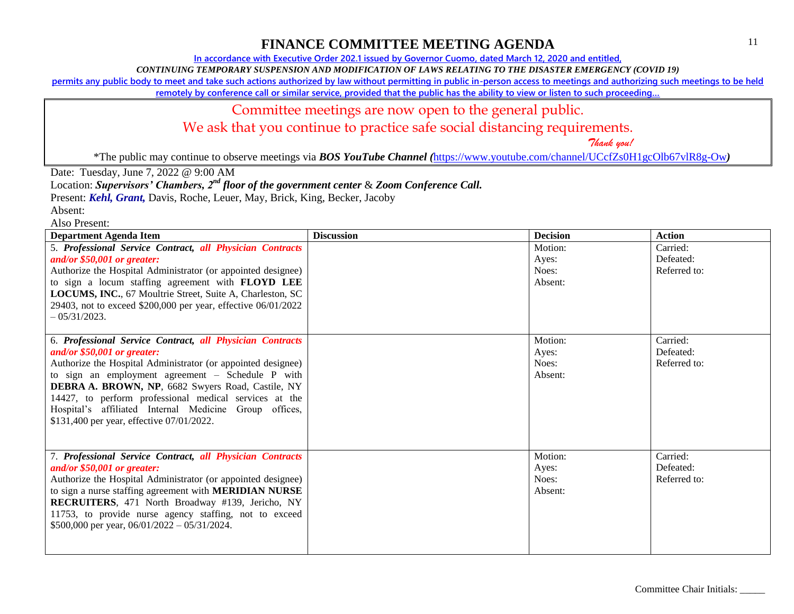**In accordance with Executive Order 202.1 issued by Governor Cuomo, dated March 12, 2020 and entitled,**

*CONTINUING TEMPORARY SUSPENSION AND MODIFICATION OF LAWS RELATING TO THE DISASTER EMERGENCY (COVID 19)*

**permits any public body to meet and take such actions authorized by law without permitting in public in-person access to meetings and authorizing such meetings to be held** 

**remotely by conference call or similar service, provided that the public has the ability to view or listen to such proceeding…**

#### Committee meetings are now open to the general public.

We ask that you continue to practice safe social distancing requirements.

 *Thank you!*

\*The public may continue to observe meetings via *BOS YouTube Channel (*<https://www.youtube.com/channel/UCcfZs0H1gcOlb67vlR8g-Ow>*)*

Date: Tuesday, June 7, 2022 @ 9:00 AM

Location: *Supervisors' Chambers, 2nd floor of the government center* & *Zoom Conference Call.*

Present: *Kehl, Grant,* Davis, Roche, Leuer, May, Brick, King, Becker, Jacoby

Absent:

| <b>Department Agenda Item</b>                                 | <b>Discussion</b> | <b>Decision</b> | <b>Action</b> |
|---------------------------------------------------------------|-------------------|-----------------|---------------|
| 5. Professional Service Contract, all Physician Contracts     |                   | Motion:         | Carried:      |
| and/or $$50,001$ or greater:                                  |                   | Ayes:           | Defeated:     |
| Authorize the Hospital Administrator (or appointed designee)  |                   | Noes:           | Referred to:  |
| to sign a locum staffing agreement with FLOYD LEE             |                   | Absent:         |               |
| LOCUMS, INC., 67 Moultrie Street, Suite A, Charleston, SC     |                   |                 |               |
| 29403, not to exceed \$200,000 per year, effective 06/01/2022 |                   |                 |               |
| $-0.5/31/2023$ .                                              |                   |                 |               |
|                                                               |                   |                 |               |
| 6. Professional Service Contract, all Physician Contracts     |                   | Motion:         | Carried:      |
| and/or $$50,001$ or greater:                                  |                   | Ayes:           | Defeated:     |
| Authorize the Hospital Administrator (or appointed designee)  |                   | Noes:           | Referred to:  |
| to sign an employment agreement – Schedule P with             |                   | Absent:         |               |
| DEBRA A. BROWN, NP, 6682 Swyers Road, Castile, NY             |                   |                 |               |
| 14427, to perform professional medical services at the        |                   |                 |               |
| Hospital's affiliated Internal Medicine Group offices,        |                   |                 |               |
| \$131,400 per year, effective 07/01/2022.                     |                   |                 |               |
|                                                               |                   |                 |               |
| 7. Professional Service Contract, all Physician Contracts     |                   | Motion:         | Carried:      |
| and/or $$50,001$ or greater:                                  |                   | Ayes:           | Defeated:     |
| Authorize the Hospital Administrator (or appointed designee)  |                   | Noes:           | Referred to:  |
| to sign a nurse staffing agreement with <b>MERIDIAN NURSE</b> |                   | Absent:         |               |
| RECRUITERS, 471 North Broadway #139, Jericho, NY              |                   |                 |               |
| 11753, to provide nurse agency staffing, not to exceed        |                   |                 |               |
| \$500,000 per year, $06/01/2022 - 05/31/2024$ .               |                   |                 |               |
|                                                               |                   |                 |               |
|                                                               |                   |                 |               |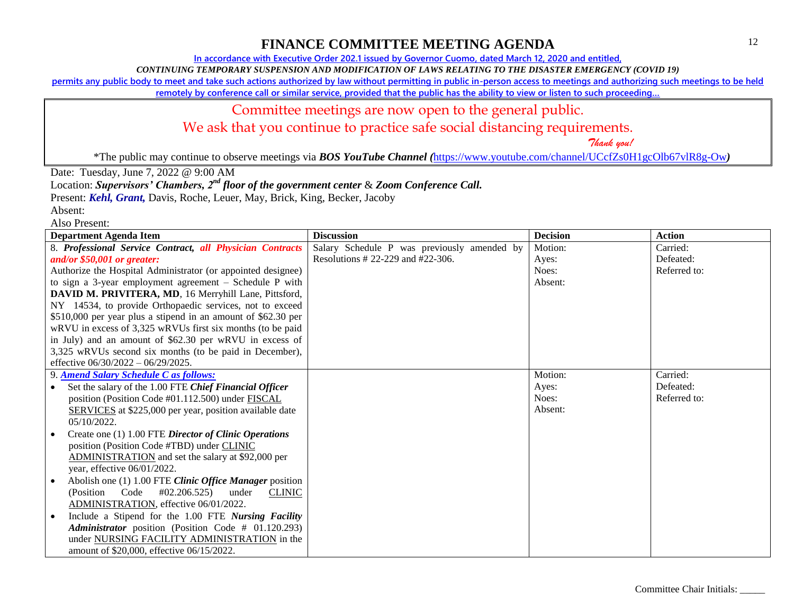**In accordance with Executive Order 202.1 issued by Governor Cuomo, dated March 12, 2020 and entitled,**

*CONTINUING TEMPORARY SUSPENSION AND MODIFICATION OF LAWS RELATING TO THE DISASTER EMERGENCY (COVID 19)*

**permits any public body to meet and take such actions authorized by law without permitting in public in-person access to meetings and authorizing such meetings to be held** 

**remotely by conference call or similar service, provided that the public has the ability to view or listen to such proceeding…**

### Committee meetings are now open to the general public.

We ask that you continue to practice safe social distancing requirements.

 *Thank you!*

\*The public may continue to observe meetings via *BOS YouTube Channel (*<https://www.youtube.com/channel/UCcfZs0H1gcOlb67vlR8g-Ow>*)*

Date: Tuesday, June 7, 2022 @ 9:00 AM

Location: *Supervisors' Chambers, 2nd floor of the government center* & *Zoom Conference Call.*

Present: *Kehl, Grant,* Davis, Roche, Leuer, May, Brick, King, Becker, Jacoby

Absent:

| <b>Department Agenda Item</b>                                  | <b>Discussion</b>                           | <b>Decision</b> | <b>Action</b> |
|----------------------------------------------------------------|---------------------------------------------|-----------------|---------------|
| 8. Professional Service Contract, all Physician Contracts      | Salary Schedule P was previously amended by | Motion:         | Carried:      |
| and/or $$50,001$ or greater:                                   | Resolutions # 22-229 and #22-306.           | Ayes:           | Defeated:     |
| Authorize the Hospital Administrator (or appointed designee)   |                                             | Noes:           | Referred to:  |
| to sign a 3-year employment agreement $-$ Schedule P with      |                                             | Absent:         |               |
| DAVID M. PRIVITERA, MD, 16 Merryhill Lane, Pittsford,          |                                             |                 |               |
| NY 14534, to provide Orthopaedic services, not to exceed       |                                             |                 |               |
| \$510,000 per year plus a stipend in an amount of \$62.30 per  |                                             |                 |               |
| wRVU in excess of 3,325 wRVUs first six months (to be paid     |                                             |                 |               |
| in July) and an amount of \$62.30 per wRVU in excess of        |                                             |                 |               |
| 3,325 wRVUs second six months (to be paid in December),        |                                             |                 |               |
| effective $06/30/2022 - 06/29/2025$ .                          |                                             |                 |               |
| 9. Amend Salary Schedule C as follows:                         |                                             | Motion:         | Carried:      |
| Set the salary of the 1.00 FTE Chief Financial Officer         |                                             | Ayes:           | Defeated:     |
| position (Position Code #01.112.500) under FISCAL              |                                             | Noes:           | Referred to:  |
| <b>SERVICES</b> at \$225,000 per year, position available date |                                             | Absent:         |               |
| $05/10/2022$ .                                                 |                                             |                 |               |
| Create one (1) 1.00 FTE Director of Clinic Operations          |                                             |                 |               |
| position (Position Code #TBD) under CLINIC                     |                                             |                 |               |
| ADMINISTRATION and set the salary at \$92,000 per              |                                             |                 |               |
| year, effective 06/01/2022.                                    |                                             |                 |               |
| Abolish one (1) 1.00 FTE Clinic Office Manager position        |                                             |                 |               |
| (Position Code #02.206.525)<br><b>CLINIC</b><br>under          |                                             |                 |               |
| ADMINISTRATION, effective 06/01/2022.                          |                                             |                 |               |
| Include a Stipend for the 1.00 FTE Nursing Facility            |                                             |                 |               |
| Administrator position (Position Code # 01.120.293)            |                                             |                 |               |
| under NURSING FACILITY ADMINISTRATION in the                   |                                             |                 |               |
| amount of \$20,000, effective 06/15/2022.                      |                                             |                 |               |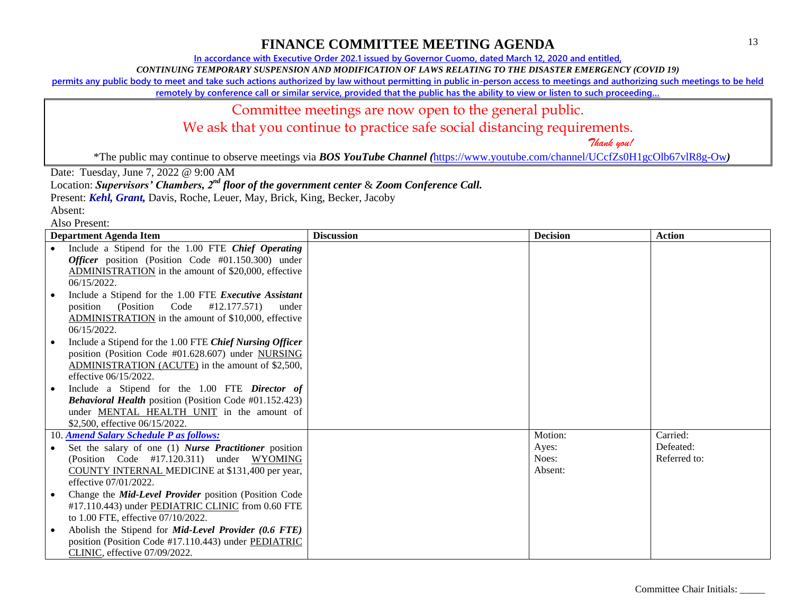**In accordance with Executive Order 202.1 issued by Governor Cuomo, dated March 12, 2020 and entitled,**

*CONTINUING TEMPORARY SUSPENSION AND MODIFICATION OF LAWS RELATING TO THE DISASTER EMERGENCY (COVID 19)*

**permits any public body to meet and take such actions authorized by law without permitting in public in-person access to meetings and authorizing such meetings to be held** 

**remotely by conference call or similar service, provided that the public has the ability to view or listen to such proceeding…**

### Committee meetings are now open to the general public.

We ask that you continue to practice safe social distancing requirements.

 *Thank you!*

\*The public may continue to observe meetings via *BOS YouTube Channel (*<https://www.youtube.com/channel/UCcfZs0H1gcOlb67vlR8g-Ow>*)*

Date: Tuesday, June 7, 2022 @ 9:00 AM

Location: *Supervisors' Chambers, 2nd floor of the government center* & *Zoom Conference Call.*

Present: *Kehl, Grant,* Davis, Roche, Leuer, May, Brick, King, Becker, Jacoby

| AISU FIUSUIII.                                                  |                   |                 |               |
|-----------------------------------------------------------------|-------------------|-----------------|---------------|
| <b>Department Agenda Item</b>                                   | <b>Discussion</b> | <b>Decision</b> | <b>Action</b> |
| Include a Stipend for the 1.00 FTE Chief Operating<br>$\bullet$ |                   |                 |               |
| <i>Officer</i> position (Position Code $#01.150.300$ ) under    |                   |                 |               |
| ADMINISTRATION in the amount of \$20,000, effective             |                   |                 |               |
| 06/15/2022.                                                     |                   |                 |               |
| Include a Stipend for the 1.00 FTE Executive Assistant          |                   |                 |               |
| (Position Code #12.177.571)<br>position                         | under             |                 |               |
| ADMINISTRATION in the amount of \$10,000, effective             |                   |                 |               |
| 06/15/2022.                                                     |                   |                 |               |
| Include a Stipend for the 1.00 FTE Chief Nursing Officer        |                   |                 |               |
| position (Position Code #01.628.607) under NURSING              |                   |                 |               |
| ADMINISTRATION (ACUTE) in the amount of \$2,500,                |                   |                 |               |
| effective 06/15/2022.                                           |                   |                 |               |
| Include a Stipend for the 1.00 FTE Director of                  |                   |                 |               |
| <b>Behavioral Health position (Position Code #01.152.423)</b>   |                   |                 |               |
| under MENTAL HEALTH UNIT in the amount of                       |                   |                 |               |
| \$2,500, effective 06/15/2022.                                  |                   |                 |               |
| 10. Amend Salary Schedule P as follows:                         |                   | Motion:         | Carried:      |
| Set the salary of one (1) Nurse Practitioner position           |                   | Ayes:           | Defeated:     |
| (Position Code #17.120.311) under WYOMING                       |                   | Noes:           | Referred to:  |
| COUNTY INTERNAL MEDICINE at \$131,400 per year,                 |                   | Absent:         |               |
| effective 07/01/2022.                                           |                   |                 |               |
| Change the Mid-Level Provider position (Position Code           |                   |                 |               |
| #17.110.443) under PEDIATRIC CLINIC from 0.60 FTE               |                   |                 |               |
| to 1.00 FTE, effective 07/10/2022.                              |                   |                 |               |
| Abolish the Stipend for <i>Mid-Level Provider</i> (0.6 FTE)     |                   |                 |               |
| position (Position Code #17.110.443) under PEDIATRIC            |                   |                 |               |
| CLINIC, effective 07/09/2022.                                   |                   |                 |               |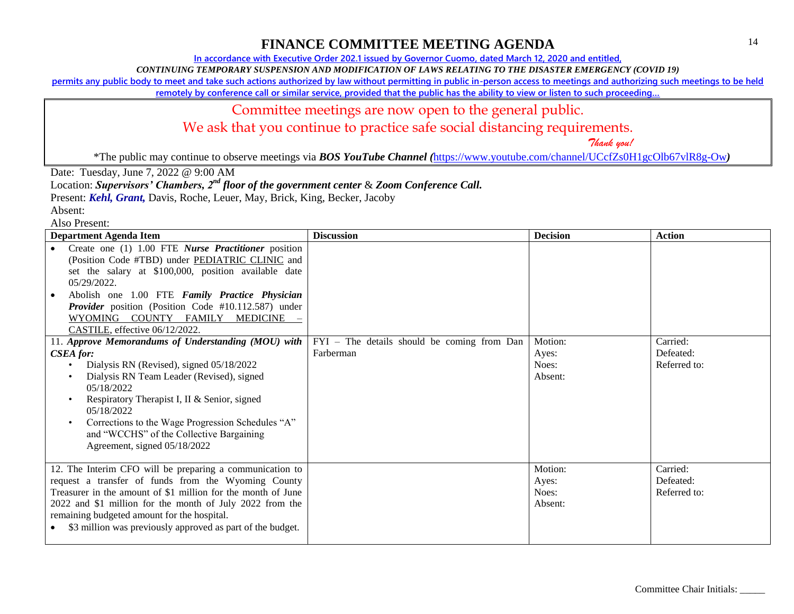**In accordance with Executive Order 202.1 issued by Governor Cuomo, dated March 12, 2020 and entitled,**

*CONTINUING TEMPORARY SUSPENSION AND MODIFICATION OF LAWS RELATING TO THE DISASTER EMERGENCY (COVID 19)*

**permits any public body to meet and take such actions authorized by law without permitting in public in-person access to meetings and authorizing such meetings to be held** 

**remotely by conference call or similar service, provided that the public has the ability to view or listen to such proceeding…**

#### Committee meetings are now open to the general public.

We ask that you continue to practice safe social distancing requirements.

 *Thank you!*

\*The public may continue to observe meetings via *BOS YouTube Channel (*<https://www.youtube.com/channel/UCcfZs0H1gcOlb67vlR8g-Ow>*)*

Date: Tuesday, June 7, 2022 @ 9:00 AM

Location: *Supervisors' Chambers, 2nd floor of the government center* & *Zoom Conference Call.*

Present: *Kehl, Grant,* Davis, Roche, Leuer, May, Brick, King, Becker, Jacoby

Absent:

| <b>Department Agenda Item</b>                                                                                                                                                                                                                                                                                                                                                              | <b>Discussion</b>                                        | <b>Decision</b>                      | <b>Action</b>                         |
|--------------------------------------------------------------------------------------------------------------------------------------------------------------------------------------------------------------------------------------------------------------------------------------------------------------------------------------------------------------------------------------------|----------------------------------------------------------|--------------------------------------|---------------------------------------|
| Create one (1) 1.00 FTE Nurse Practitioner position<br>(Position Code #TBD) under PEDIATRIC CLINIC and<br>set the salary at \$100,000, position available date<br>05/29/2022.<br>Abolish one 1.00 FTE Family Practice Physician<br>Provider position (Position Code #10.112.587) under<br>WYOMING COUNTY FAMILY MEDICINE<br>CASTILE, effective 06/12/2022.                                 |                                                          |                                      |                                       |
| 11. Approve Memorandums of Understanding (MOU) with<br><b>CSEA</b> for:<br>Dialysis RN (Revised), signed 05/18/2022<br>$\bullet$<br>Dialysis RN Team Leader (Revised), signed<br>05/18/2022<br>Respiratory Therapist I, II & Senior, signed<br>05/18/2022<br>Corrections to the Wage Progression Schedules "A"<br>and "WCCHS" of the Collective Bargaining<br>Agreement, signed 05/18/2022 | FYI - The details should be coming from Dan<br>Farberman | Motion:<br>Ayes:<br>Noes:<br>Absent: | Carried:<br>Defeated:<br>Referred to: |
| 12. The Interim CFO will be preparing a communication to<br>request a transfer of funds from the Wyoming County<br>Treasurer in the amount of \$1 million for the month of June<br>2022 and \$1 million for the month of July 2022 from the<br>remaining budgeted amount for the hospital.<br>\$3 million was previously approved as part of the budget.                                   |                                                          | Motion:<br>Ayes:<br>Noes:<br>Absent: | Carried:<br>Defeated:<br>Referred to: |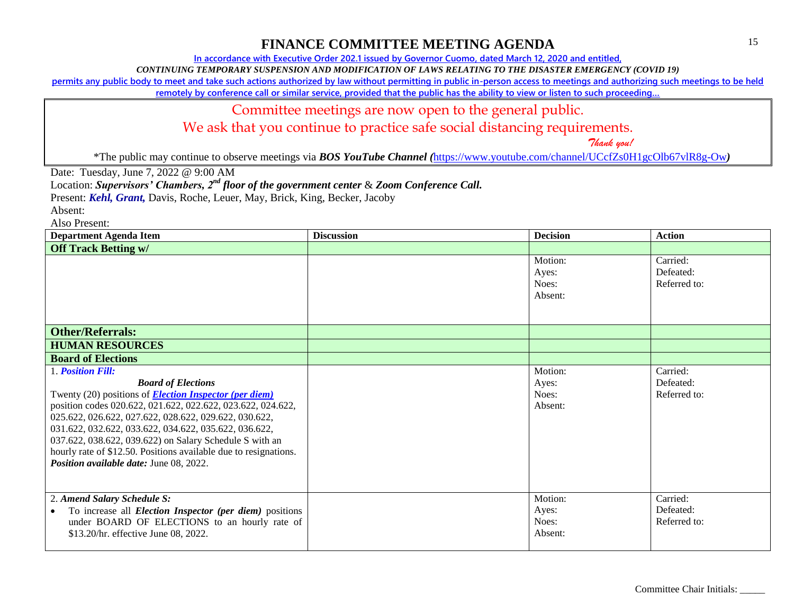**In accordance with Executive Order 202.1 issued by Governor Cuomo, dated March 12, 2020 and entitled,**

*CONTINUING TEMPORARY SUSPENSION AND MODIFICATION OF LAWS RELATING TO THE DISASTER EMERGENCY (COVID 19)*

**permits any public body to meet and take such actions authorized by law without permitting in public in-person access to meetings and authorizing such meetings to be held** 

**remotely by conference call or similar service, provided that the public has the ability to view or listen to such proceeding…**

#### Committee meetings are now open to the general public.

We ask that you continue to practice safe social distancing requirements.

 *Thank you!*

\*The public may continue to observe meetings via *BOS YouTube Channel (*<https://www.youtube.com/channel/UCcfZs0H1gcOlb67vlR8g-Ow>*)*

Date: Tuesday, June 7, 2022 @ 9:00 AM

Location: *Supervisors' Chambers, 2nd floor of the government center* & *Zoom Conference Call.*

Present: *Kehl, Grant,* Davis, Roche, Leuer, May, Brick, King, Becker, Jacoby

Absent:

| <b>Department Agenda Item</b>                                                                                                                                                                                                                                                                                                                                                                                                                                              | <b>Discussion</b> | <b>Decision</b>                      | <b>Action</b>                         |
|----------------------------------------------------------------------------------------------------------------------------------------------------------------------------------------------------------------------------------------------------------------------------------------------------------------------------------------------------------------------------------------------------------------------------------------------------------------------------|-------------------|--------------------------------------|---------------------------------------|
| <b>Off Track Betting w/</b>                                                                                                                                                                                                                                                                                                                                                                                                                                                |                   |                                      |                                       |
|                                                                                                                                                                                                                                                                                                                                                                                                                                                                            |                   | Motion:<br>Ayes:<br>Noes:<br>Absent: | Carried:<br>Defeated:<br>Referred to: |
| <b>Other/Referrals:</b>                                                                                                                                                                                                                                                                                                                                                                                                                                                    |                   |                                      |                                       |
| <b>HUMAN RESOURCES</b>                                                                                                                                                                                                                                                                                                                                                                                                                                                     |                   |                                      |                                       |
| <b>Board of Elections</b>                                                                                                                                                                                                                                                                                                                                                                                                                                                  |                   |                                      |                                       |
| 1. Position Fill:<br><b>Board of Elections</b><br>Twenty (20) positions of <b>Election Inspector (per diem)</b><br>position codes 020.622, 021.622, 022.622, 023.622, 024.622,<br>025.622, 026.622, 027.622, 028.622, 029.622, 030.622,<br>031.622, 032.622, 033.622, 034.622, 035.622, 036.622,<br>037.622, 038.622, 039.622) on Salary Schedule S with an<br>hourly rate of \$12.50. Positions available due to resignations.<br>Position available date: June 08, 2022. |                   | Motion:<br>Ayes:<br>Noes:<br>Absent: | Carried:<br>Defeated:<br>Referred to: |
| 2. Amend Salary Schedule S:<br>To increase all <i>Election Inspector (per diem)</i> positions<br>under BOARD OF ELECTIONS to an hourly rate of<br>\$13.20/hr. effective June 08, 2022.                                                                                                                                                                                                                                                                                     |                   | Motion:<br>Ayes:<br>Noes:<br>Absent: | Carried:<br>Defeated:<br>Referred to: |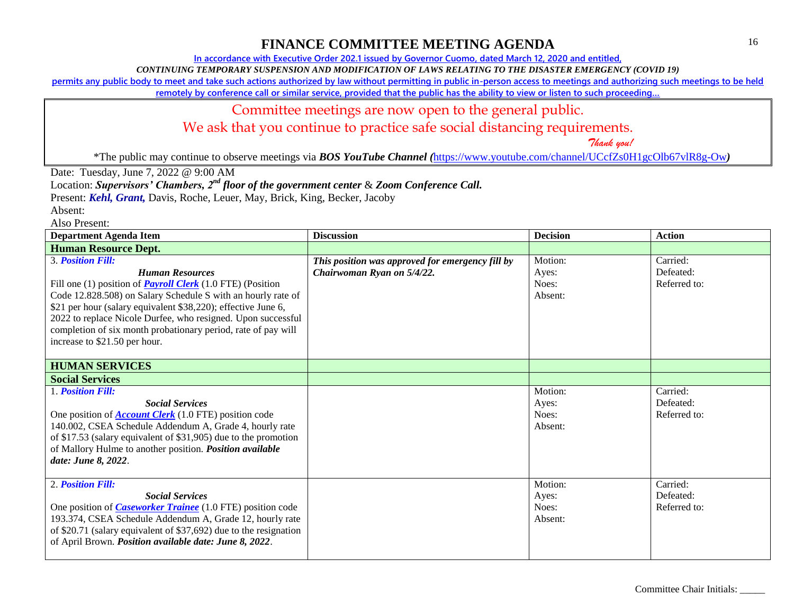**In accordance with Executive Order 202.1 issued by Governor Cuomo, dated March 12, 2020 and entitled,**

*CONTINUING TEMPORARY SUSPENSION AND MODIFICATION OF LAWS RELATING TO THE DISASTER EMERGENCY (COVID 19)*

**permits any public body to meet and take such actions authorized by law without permitting in public in-person access to meetings and authorizing such meetings to be held** 

**remotely by conference call or similar service, provided that the public has the ability to view or listen to such proceeding…**

#### Committee meetings are now open to the general public.

We ask that you continue to practice safe social distancing requirements.

 *Thank you!*

\*The public may continue to observe meetings via *BOS YouTube Channel (*<https://www.youtube.com/channel/UCcfZs0H1gcOlb67vlR8g-Ow>*)*

Date: Tuesday, June 7, 2022 @ 9:00 AM

Location: *Supervisors' Chambers, 2nd floor of the government center* & *Zoom Conference Call.*

Present: *Kehl, Grant,* Davis, Roche, Leuer, May, Brick, King, Becker, Jacoby

Absent:

| <b>Department Agenda Item</b>                                                                                                                                                                                                                                                                                                                                                                                              | <b>Discussion</b>                                                              | <b>Decision</b>                      | <b>Action</b>                         |
|----------------------------------------------------------------------------------------------------------------------------------------------------------------------------------------------------------------------------------------------------------------------------------------------------------------------------------------------------------------------------------------------------------------------------|--------------------------------------------------------------------------------|--------------------------------------|---------------------------------------|
| <b>Human Resource Dept.</b>                                                                                                                                                                                                                                                                                                                                                                                                |                                                                                |                                      |                                       |
| <b>3. Position Fill:</b><br><b>Human Resources</b><br>Fill one (1) position of <b>Payroll Clerk</b> (1.0 FTE) (Position<br>Code 12.828.508) on Salary Schedule S with an hourly rate of<br>\$21 per hour (salary equivalent \$38,220); effective June 6,<br>2022 to replace Nicole Durfee, who resigned. Upon successful<br>completion of six month probationary period, rate of pay will<br>increase to \$21.50 per hour. | This position was approved for emergency fill by<br>Chairwoman Ryan on 5/4/22. | Motion:<br>Ayes:<br>Noes:<br>Absent: | Carried:<br>Defeated:<br>Referred to: |
| <b>HUMAN SERVICES</b>                                                                                                                                                                                                                                                                                                                                                                                                      |                                                                                |                                      |                                       |
| <b>Social Services</b>                                                                                                                                                                                                                                                                                                                                                                                                     |                                                                                |                                      |                                       |
| 1. Position Fill:<br><b>Social Services</b><br>One position of $Account Clerk (1.0 FTE) position code$<br>140.002, CSEA Schedule Addendum A, Grade 4, hourly rate<br>of \$17.53 (salary equivalent of \$31,905) due to the promotion<br>of Mallory Hulme to another position. Position available<br>date: June 8, 2022.                                                                                                    |                                                                                | Motion:<br>Ayes:<br>Noes:<br>Absent: | Carried:<br>Defeated:<br>Referred to: |
| 2. Position Fill:<br><b>Social Services</b><br>One position of <i>Caseworker Trainee</i> (1.0 FTE) position code<br>193.374, CSEA Schedule Addendum A, Grade 12, hourly rate<br>of \$20.71 (salary equivalent of \$37,692) due to the resignation<br>of April Brown. Position available date: June 8, 2022.                                                                                                                |                                                                                | Motion:<br>Ayes:<br>Noes:<br>Absent: | Carried:<br>Defeated:<br>Referred to: |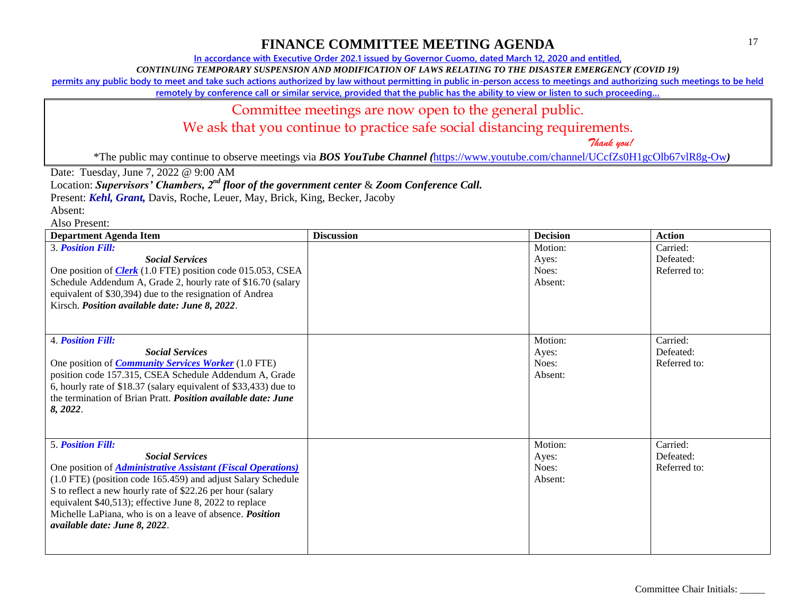**In accordance with Executive Order 202.1 issued by Governor Cuomo, dated March 12, 2020 and entitled,**

*CONTINUING TEMPORARY SUSPENSION AND MODIFICATION OF LAWS RELATING TO THE DISASTER EMERGENCY (COVID 19)*

**permits any public body to meet and take such actions authorized by law without permitting in public in-person access to meetings and authorizing such meetings to be held** 

**remotely by conference call or similar service, provided that the public has the ability to view or listen to such proceeding…**

#### Committee meetings are now open to the general public.

We ask that you continue to practice safe social distancing requirements.

 *Thank you!*

\*The public may continue to observe meetings via *BOS YouTube Channel (*<https://www.youtube.com/channel/UCcfZs0H1gcOlb67vlR8g-Ow>*)*

Date: Tuesday, June 7, 2022 @ 9:00 AM

Location: *Supervisors' Chambers, 2nd floor of the government center* & *Zoom Conference Call.*

Present: *Kehl, Grant,* Davis, Roche, Leuer, May, Brick, King, Becker, Jacoby

| <b>Department Agenda Item</b>                                                                                                                                                                                                                                                                                                                                                                                          | <b>Discussion</b> | <b>Decision</b>                      | <b>Action</b>                         |
|------------------------------------------------------------------------------------------------------------------------------------------------------------------------------------------------------------------------------------------------------------------------------------------------------------------------------------------------------------------------------------------------------------------------|-------------------|--------------------------------------|---------------------------------------|
| <b>3. Position Fill:</b><br><b>Social Services</b><br>One position of <b>Clerk</b> (1.0 FTE) position code 015.053, CSEA<br>Schedule Addendum A, Grade 2, hourly rate of \$16.70 (salary<br>equivalent of \$30,394) due to the resignation of Andrea<br>Kirsch. Position available date: June 8, 2022.                                                                                                                 |                   | Motion:<br>Ayes:<br>Noes:<br>Absent: | Carried:<br>Defeated:<br>Referred to: |
| <b>4. Position Fill:</b><br><b>Social Services</b><br>One position of <i>Community Services Worker</i> (1.0 FTE)<br>position code 157.315, CSEA Schedule Addendum A, Grade<br>6, hourly rate of \$18.37 (salary equivalent of \$33,433) due to<br>the termination of Brian Pratt. <i>Position available date: June</i><br>8, 2022.                                                                                     |                   | Motion:<br>Ayes:<br>Noes:<br>Absent: | Carried:<br>Defeated:<br>Referred to: |
| <b>5. Position Fill:</b><br><b>Social Services</b><br>One position of <i>Administrative Assistant (Fiscal Operations)</i><br>(1.0 FTE) (position code 165.459) and adjust Salary Schedule<br>S to reflect a new hourly rate of \$22.26 per hour (salary<br>equivalent \$40,513); effective June 8, 2022 to replace<br>Michelle LaPiana, who is on a leave of absence. <i>Position</i><br>available date: June 8, 2022. |                   | Motion:<br>Ayes:<br>Noes:<br>Absent: | Carried:<br>Defeated:<br>Referred to: |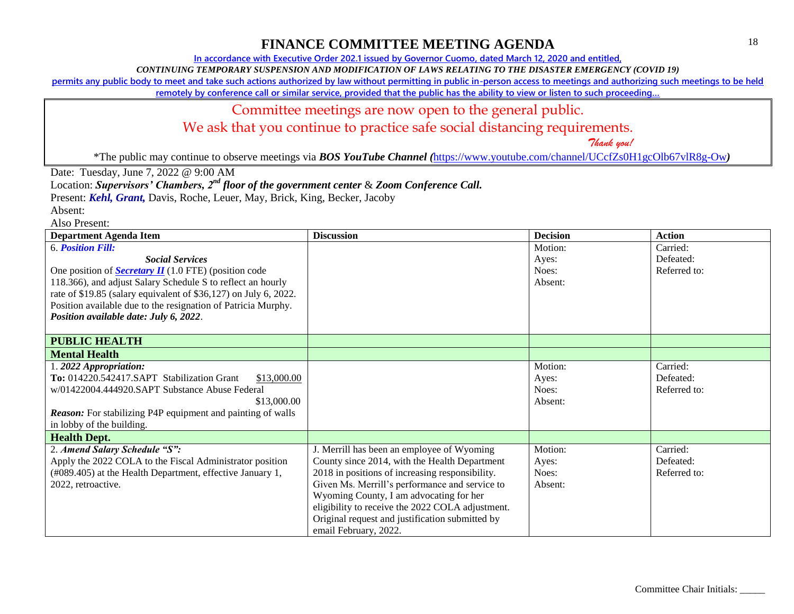**In accordance with Executive Order 202.1 issued by Governor Cuomo, dated March 12, 2020 and entitled,**

*CONTINUING TEMPORARY SUSPENSION AND MODIFICATION OF LAWS RELATING TO THE DISASTER EMERGENCY (COVID 19)*

**permits any public body to meet and take such actions authorized by law without permitting in public in-person access to meetings and authorizing such meetings to be held** 

**remotely by conference call or similar service, provided that the public has the ability to view or listen to such proceeding…**

#### Committee meetings are now open to the general public.

We ask that you continue to practice safe social distancing requirements.

 *Thank you!*

\*The public may continue to observe meetings via *BOS YouTube Channel (*<https://www.youtube.com/channel/UCcfZs0H1gcOlb67vlR8g-Ow>*)*

Date: Tuesday, June 7, 2022 @ 9:00 AM

Location: *Supervisors' Chambers, 2nd floor of the government center* & *Zoom Conference Call.*

Present: *Kehl, Grant,* Davis, Roche, Leuer, May, Brick, King, Becker, Jacoby

| <b>Department Agenda Item</b>                                      | <b>Discussion</b>                                | <b>Decision</b> | <b>Action</b> |
|--------------------------------------------------------------------|--------------------------------------------------|-----------------|---------------|
| <b>6. Position Fill:</b>                                           |                                                  | Motion:         | Carried:      |
| <b>Social Services</b>                                             |                                                  | Ayes:           | Defeated:     |
| One position of <b>Secretary II</b> (1.0 FTE) (position code       |                                                  | Noes:           | Referred to:  |
| 118.366), and adjust Salary Schedule S to reflect an hourly        |                                                  | Absent:         |               |
| rate of \$19.85 (salary equivalent of \$36,127) on July 6, 2022.   |                                                  |                 |               |
| Position available due to the resignation of Patricia Murphy.      |                                                  |                 |               |
| Position available date: July 6, 2022.                             |                                                  |                 |               |
|                                                                    |                                                  |                 |               |
| <b>PUBLIC HEALTH</b>                                               |                                                  |                 |               |
| <b>Mental Health</b>                                               |                                                  |                 |               |
| 1.2022 Appropriation:                                              |                                                  | Motion:         | Carried:      |
| To: 014220.542417.SAPT Stabilization Grant<br>\$13,000.00          |                                                  | Ayes:           | Defeated:     |
| w/01422004.444920.SAPT Substance Abuse Federal                     |                                                  | Noes:           | Referred to:  |
| \$13,000.00                                                        |                                                  | Absent:         |               |
| <b>Reason:</b> For stabilizing P4P equipment and painting of walls |                                                  |                 |               |
| in lobby of the building.                                          |                                                  |                 |               |
| <b>Health Dept.</b>                                                |                                                  |                 |               |
| 2. Amend Salary Schedule "S":                                      | J. Merrill has been an employee of Wyoming       | Motion:         | Carried:      |
| Apply the 2022 COLA to the Fiscal Administrator position           | County since 2014, with the Health Department    | Ayes:           | Defeated:     |
| (#089.405) at the Health Department, effective January 1,          | 2018 in positions of increasing responsibility.  | Noes:           | Referred to:  |
| 2022, retroactive.                                                 | Given Ms. Merrill's performance and service to   | Absent:         |               |
|                                                                    | Wyoming County, I am advocating for her          |                 |               |
|                                                                    | eligibility to receive the 2022 COLA adjustment. |                 |               |
|                                                                    | Original request and justification submitted by  |                 |               |
|                                                                    | email February, 2022.                            |                 |               |
|                                                                    |                                                  |                 |               |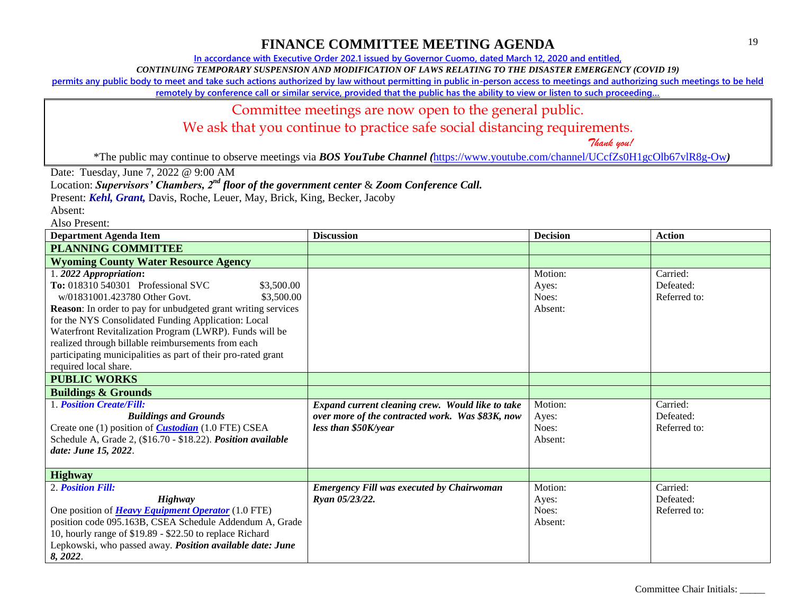**In accordance with Executive Order 202.1 issued by Governor Cuomo, dated March 12, 2020 and entitled,**

*CONTINUING TEMPORARY SUSPENSION AND MODIFICATION OF LAWS RELATING TO THE DISASTER EMERGENCY (COVID 19)*

**permits any public body to meet and take such actions authorized by law without permitting in public in-person access to meetings and authorizing such meetings to be held** 

**remotely by conference call or similar service, provided that the public has the ability to view or listen to such proceeding…**

#### Committee meetings are now open to the general public.

We ask that you continue to practice safe social distancing requirements.

 *Thank you!*

\*The public may continue to observe meetings via *BOS YouTube Channel (*<https://www.youtube.com/channel/UCcfZs0H1gcOlb67vlR8g-Ow>*)*

Date: Tuesday, June 7, 2022 @ 9:00 AM

Location: *Supervisors' Chambers, 2nd floor of the government center* & *Zoom Conference Call.*

Present: *Kehl, Grant,* Davis, Roche, Leuer, May, Brick, King, Becker, Jacoby

Absent:

| <b>Department Agenda Item</b>                                                                                                                                                                                                                                                                                                                                                                                                                               | <b>Discussion</b>                                                                                                            | <b>Decision</b>                      | <b>Action</b>                         |
|-------------------------------------------------------------------------------------------------------------------------------------------------------------------------------------------------------------------------------------------------------------------------------------------------------------------------------------------------------------------------------------------------------------------------------------------------------------|------------------------------------------------------------------------------------------------------------------------------|--------------------------------------|---------------------------------------|
| <b>PLANNING COMMITTEE</b>                                                                                                                                                                                                                                                                                                                                                                                                                                   |                                                                                                                              |                                      |                                       |
| <b>Wyoming County Water Resource Agency</b>                                                                                                                                                                                                                                                                                                                                                                                                                 |                                                                                                                              |                                      |                                       |
| 1.2022 Appropriation:<br>To: 018310 540301 Professional SVC<br>\$3,500.00<br>w/01831001.423780 Other Govt.<br>\$3,500.00<br>Reason: In order to pay for unbudgeted grant writing services<br>for the NYS Consolidated Funding Application: Local<br>Waterfront Revitalization Program (LWRP). Funds will be<br>realized through billable reimbursements from each<br>participating municipalities as part of their pro-rated grant<br>required local share. |                                                                                                                              | Motion:<br>Ayes:<br>Noes:<br>Absent: | Carried:<br>Defeated:<br>Referred to: |
| <b>PUBLIC WORKS</b>                                                                                                                                                                                                                                                                                                                                                                                                                                         |                                                                                                                              |                                      |                                       |
| <b>Buildings &amp; Grounds</b>                                                                                                                                                                                                                                                                                                                                                                                                                              |                                                                                                                              |                                      |                                       |
| 1. Position Create/Fill:<br><b>Buildings and Grounds</b><br>Create one (1) position of <i>Custodian</i> (1.0 FTE) CSEA<br>Schedule A, Grade 2, (\$16.70 - \$18.22). Position available<br>date: June 15, 2022.                                                                                                                                                                                                                                              | Expand current cleaning crew. Would like to take<br>over more of the contracted work. Was \$83K, now<br>less than \$50K/year | Motion:<br>Ayes:<br>Noes:<br>Absent: | Carried:<br>Defeated:<br>Referred to: |
| <b>Highway</b>                                                                                                                                                                                                                                                                                                                                                                                                                                              |                                                                                                                              |                                      |                                       |
| 2. Position Fill:<br><b>Highway</b><br>One position of <b>Heavy Equipment Operator</b> (1.0 FTE)<br>position code 095.163B, CSEA Schedule Addendum A, Grade<br>10, hourly range of \$19.89 - \$22.50 to replace Richard<br>Lepkowski, who passed away. Position available date: June<br>8, 2022.                                                                                                                                                            | <b>Emergency Fill was executed by Chairwoman</b><br>Ryan 05/23/22.                                                           | Motion:<br>Ayes:<br>Noes:<br>Absent: | Carried:<br>Defeated:<br>Referred to: |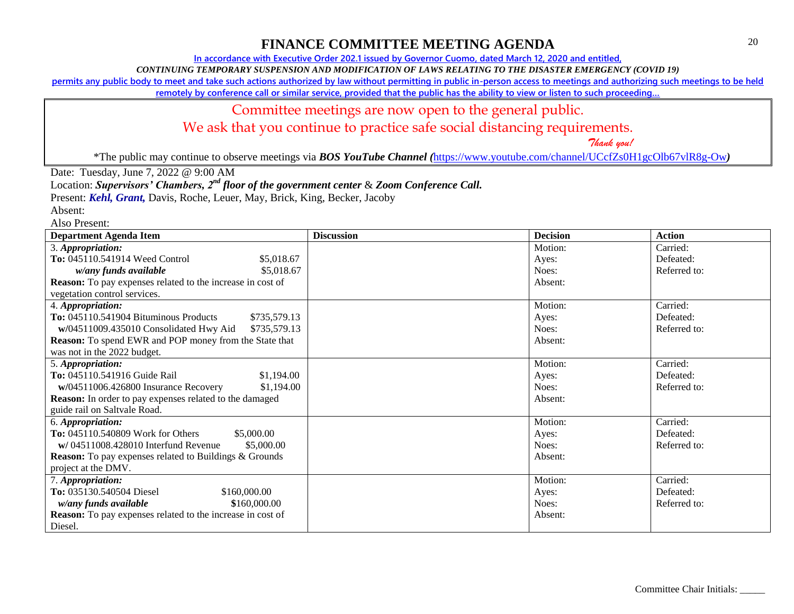**In accordance with Executive Order 202.1 issued by Governor Cuomo, dated March 12, 2020 and entitled,**

*CONTINUING TEMPORARY SUSPENSION AND MODIFICATION OF LAWS RELATING TO THE DISASTER EMERGENCY (COVID 19)*

**permits any public body to meet and take such actions authorized by law without permitting in public in-person access to meetings and authorizing such meetings to be held** 

**remotely by conference call or similar service, provided that the public has the ability to view or listen to such proceeding…**

#### Committee meetings are now open to the general public.

We ask that you continue to practice safe social distancing requirements.

 *Thank you!*

\*The public may continue to observe meetings via *BOS YouTube Channel (*<https://www.youtube.com/channel/UCcfZs0H1gcOlb67vlR8g-Ow>*)*

Date: Tuesday, June 7, 2022 @ 9:00 AM

Location: *Supervisors' Chambers, 2nd floor of the government center* & *Zoom Conference Call.*

Present: *Kehl, Grant,* Davis, Roche, Leuer, May, Brick, King, Becker, Jacoby

Absent:

| <b>Department Agenda Item</b>                                     | <b>Discussion</b> | <b>Decision</b> | <b>Action</b> |
|-------------------------------------------------------------------|-------------------|-----------------|---------------|
| 3. Appropriation:                                                 |                   | Motion:         | Carried:      |
| To: 045110.541914 Weed Control<br>\$5,018.67                      |                   | Ayes:           | Defeated:     |
| \$5,018.67<br>w/any funds available                               |                   | Noes:           | Referred to:  |
| <b>Reason:</b> To pay expenses related to the increase in cost of |                   | Absent:         |               |
| vegetation control services.                                      |                   |                 |               |
| 4. Appropriation:                                                 |                   | Motion:         | Carried:      |
| To: 045110.541904 Bituminous Products<br>\$735,579.13             |                   | Ayes:           | Defeated:     |
| w/04511009.435010 Consolidated Hwy Aid<br>\$735,579.13            |                   | Noes:           | Referred to:  |
| <b>Reason:</b> To spend EWR and POP money from the State that     |                   | Absent:         |               |
| was not in the 2022 budget.                                       |                   |                 |               |
| 5. Appropriation:                                                 |                   | Motion:         | Carried:      |
| To: 045110.541916 Guide Rail<br>\$1,194.00                        |                   | Ayes:           | Defeated:     |
| \$1,194.00<br>$w/04511006.426800$ Insurance Recovery              |                   | Noes:           | Referred to:  |
| Reason: In order to pay expenses related to the damaged           |                   | Absent:         |               |
| guide rail on Saltvale Road.                                      |                   |                 |               |
| 6. Appropriation:                                                 |                   | Motion:         | Carried:      |
| To: 045110.540809 Work for Others<br>\$5,000.00                   |                   | Ayes:           | Defeated:     |
| \$5,000.00<br>$\mathbf{w}/(04511008.428010)$ Interfund Revenue    |                   | Noes:           | Referred to:  |
| <b>Reason:</b> To pay expenses related to Buildings & Grounds     |                   | Absent:         |               |
| project at the DMV.                                               |                   |                 |               |
| 7. Appropriation:                                                 |                   | Motion:         | Carried:      |
| To: 035130.540504 Diesel<br>\$160,000.00                          |                   | Ayes:           | Defeated:     |
| \$160,000.00<br>w/any funds available                             |                   | Noes:           | Referred to:  |
| <b>Reason:</b> To pay expenses related to the increase in cost of |                   | Absent:         |               |
| Diesel.                                                           |                   |                 |               |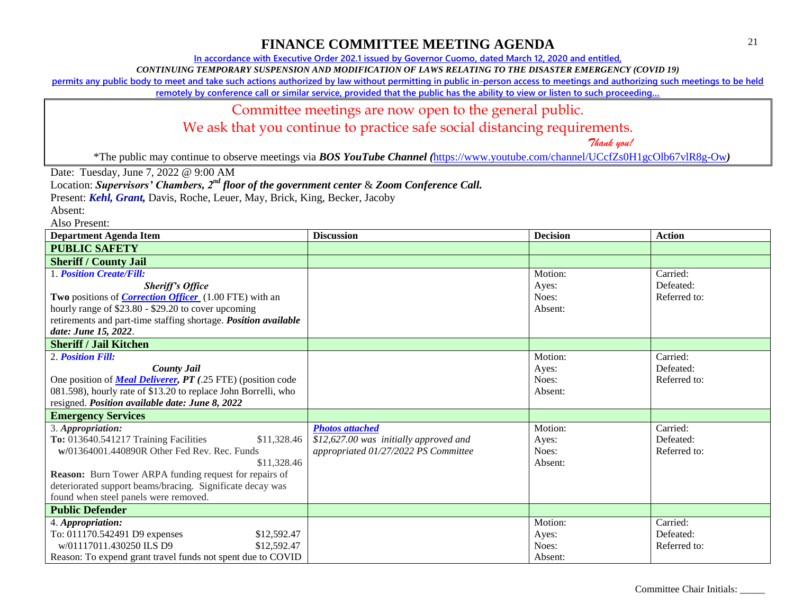**In accordance with Executive Order 202.1 issued by Governor Cuomo, dated March 12, 2020 and entitled,**

*CONTINUING TEMPORARY SUSPENSION AND MODIFICATION OF LAWS RELATING TO THE DISASTER EMERGENCY (COVID 19)*

**permits any public body to meet and take such actions authorized by law without permitting in public in-person access to meetings and authorizing such meetings to be held** 

**remotely by conference call or similar service, provided that the public has the ability to view or listen to such proceeding…**

#### Committee meetings are now open to the general public.

We ask that you continue to practice safe social distancing requirements.

 *Thank you!*

\*The public may continue to observe meetings via *BOS YouTube Channel (*<https://www.youtube.com/channel/UCcfZs0H1gcOlb67vlR8g-Ow>*)*

Date: Tuesday, June 7, 2022 @ 9:00 AM

Location: *Supervisors' Chambers, 2nd floor of the government center* & *Zoom Conference Call.*

Present: *Kehl, Grant,* Davis, Roche, Leuer, May, Brick, King, Becker, Jacoby

Absent:

| <b>Department Agenda Item</b>                                      | <b>Discussion</b>                      | <b>Decision</b> | <b>Action</b> |
|--------------------------------------------------------------------|----------------------------------------|-----------------|---------------|
| <b>PUBLIC SAFETY</b>                                               |                                        |                 |               |
| <b>Sheriff / County Jail</b>                                       |                                        |                 |               |
| <b>1. Position Create/Fill:</b>                                    |                                        | Motion:         | Carried:      |
| <b>Sheriff's Office</b>                                            |                                        | Ayes:           | Defeated:     |
| Two positions of <i>Correction Officer</i> (1.00 FTE) with an      |                                        | Noes:           | Referred to:  |
| hourly range of \$23.80 - \$29.20 to cover upcoming                |                                        | Absent:         |               |
| retirements and part-time staffing shortage. Position available    |                                        |                 |               |
| date: June 15, 2022.                                               |                                        |                 |               |
| <b>Sheriff / Jail Kitchen</b>                                      |                                        |                 |               |
| 2. Position Fill:                                                  |                                        | Motion:         | Carried:      |
| <b>County Jail</b>                                                 |                                        | Ayes:           | Defeated:     |
| One position of <b>Meal Deliverer, PT</b> (.25 FTE) (position code |                                        | Noes:           | Referred to:  |
| 081.598), hourly rate of \$13.20 to replace John Borrelli, who     |                                        | Absent:         |               |
| resigned. Position available date: June 8, 2022                    |                                        |                 |               |
| <b>Emergency Services</b>                                          |                                        |                 |               |
| 3. Appropriation:                                                  | <b>Photos attached</b>                 | Motion:         | Carried:      |
| To: 013640.541217 Training Facilities<br>\$11,328.46               | \$12,627.00 was initially approved and | Ayes:           | Defeated:     |
| w/01364001.440890R Other Fed Rev. Rec. Funds                       | appropriated 01/27/2022 PS Committee   | Noes:           | Referred to:  |
| \$11,328.46                                                        |                                        | Absent:         |               |
| <b>Reason:</b> Burn Tower ARPA funding request for repairs of      |                                        |                 |               |
| deteriorated support beams/bracing. Significate decay was          |                                        |                 |               |
| found when steel panels were removed.                              |                                        |                 |               |
| <b>Public Defender</b>                                             |                                        |                 |               |
| 4. Appropriation:                                                  |                                        | Motion:         | Carried:      |
| To: 011170.542491 D9 expenses<br>\$12,592.47                       |                                        | Ayes:           | Defeated:     |
| w/01117011.430250 ILS D9<br>\$12,592.47                            |                                        | Noes:           | Referred to:  |
| Reason: To expend grant travel funds not spent due to COVID        |                                        | Absent:         |               |